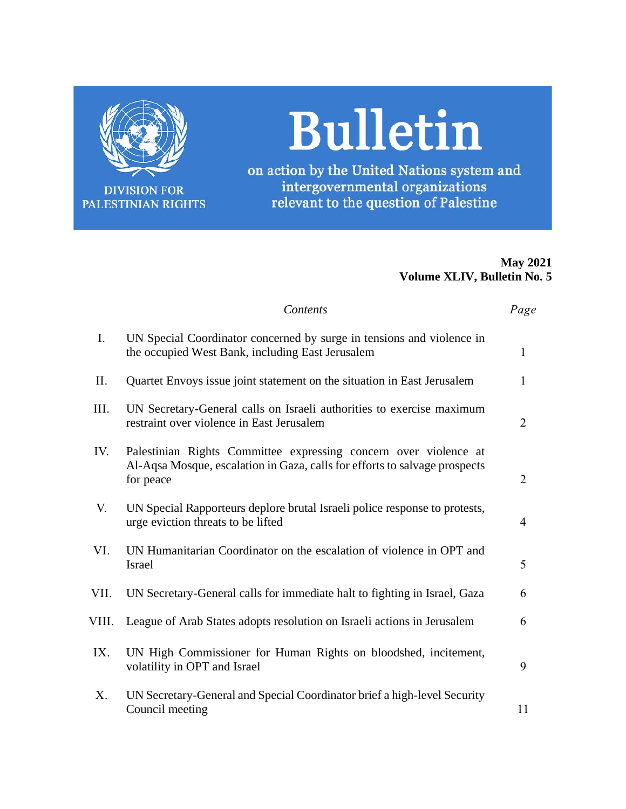

**DIVISION FOR** PALESTINIAN RIGHTS

# **Bulletin**

on action by the United Nations system and intergovernmental organizations relevant to the question of Palestine

# **May 2021 Volume XLIV, Bulletin No. 5**

|       | Contents                                                                                                                                                    | Page           |
|-------|-------------------------------------------------------------------------------------------------------------------------------------------------------------|----------------|
| I.    | UN Special Coordinator concerned by surge in tensions and violence in<br>the occupied West Bank, including East Jerusalem                                   | 1              |
| II.   | Quartet Envoys issue joint statement on the situation in East Jerusalem                                                                                     | $\mathbf{1}$   |
| III.  | UN Secretary-General calls on Israeli authorities to exercise maximum<br>restraint over violence in East Jerusalem                                          | $\overline{2}$ |
| IV.   | Palestinian Rights Committee expressing concern over violence at<br>Al-Aqsa Mosque, escalation in Gaza, calls for efforts to salvage prospects<br>for peace | $\overline{2}$ |
| V.    | UN Special Rapporteurs deplore brutal Israeli police response to protests,<br>urge eviction threats to be lifted                                            | $\overline{4}$ |
| VI.   | UN Humanitarian Coordinator on the escalation of violence in OPT and<br>Israel                                                                              | 5              |
| VII.  | UN Secretary-General calls for immediate halt to fighting in Israel, Gaza                                                                                   | 6              |
| VIII. | League of Arab States adopts resolution on Israeli actions in Jerusalem                                                                                     | 6              |
| IX.   | UN High Commissioner for Human Rights on bloodshed, incitement,<br>volatility in OPT and Israel                                                             | 9              |
| Χ.    | UN Secretary-General and Special Coordinator brief a high-level Security<br>Council meeting                                                                 | 11             |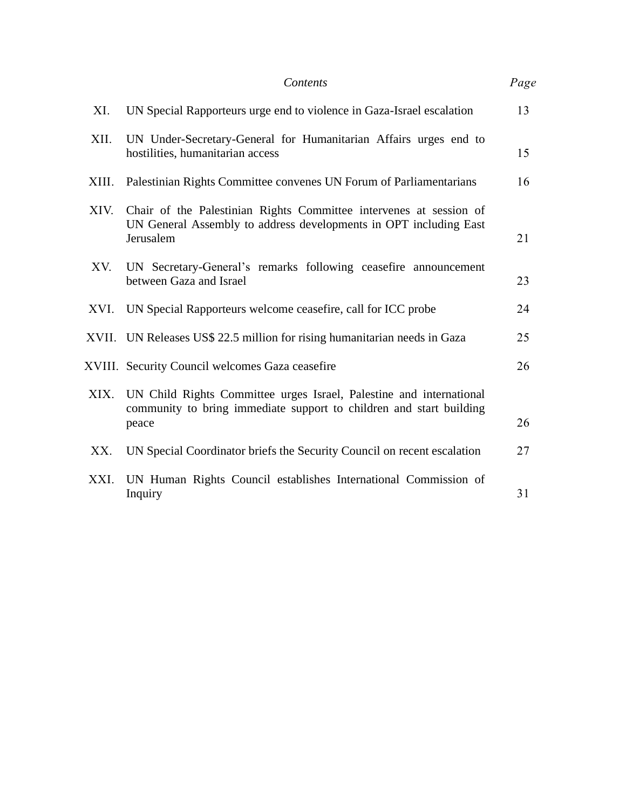|       | Contents                                                                                                                                                 | Page |
|-------|----------------------------------------------------------------------------------------------------------------------------------------------------------|------|
| XI.   | UN Special Rapporteurs urge end to violence in Gaza-Israel escalation                                                                                    | 13   |
| XII.  | UN Under-Secretary-General for Humanitarian Affairs urges end to<br>hostilities, humanitarian access                                                     | 15   |
| XIII. | Palestinian Rights Committee convenes UN Forum of Parliamentarians                                                                                       | 16   |
| XIV.  | Chair of the Palestinian Rights Committee intervenes at session of<br>UN General Assembly to address developments in OPT including East<br>Jerusalem     | 21   |
| XV.   | UN Secretary-General's remarks following ceasefire announcement<br>between Gaza and Israel                                                               | 23   |
| XVI.  | UN Special Rapporteurs welcome ceasefire, call for ICC probe                                                                                             | 24   |
|       | XVII. UN Releases US\$ 22.5 million for rising humanitarian needs in Gaza                                                                                | 25   |
|       | XVIII. Security Council welcomes Gaza ceasefire                                                                                                          | 26   |
|       | XIX. UN Child Rights Committee urges Israel, Palestine and international<br>community to bring immediate support to children and start building<br>peace | 26   |
| XX.   | UN Special Coordinator briefs the Security Council on recent escalation                                                                                  | 27   |
| XXI.  | UN Human Rights Council establishes International Commission of<br>Inquiry                                                                               | 31   |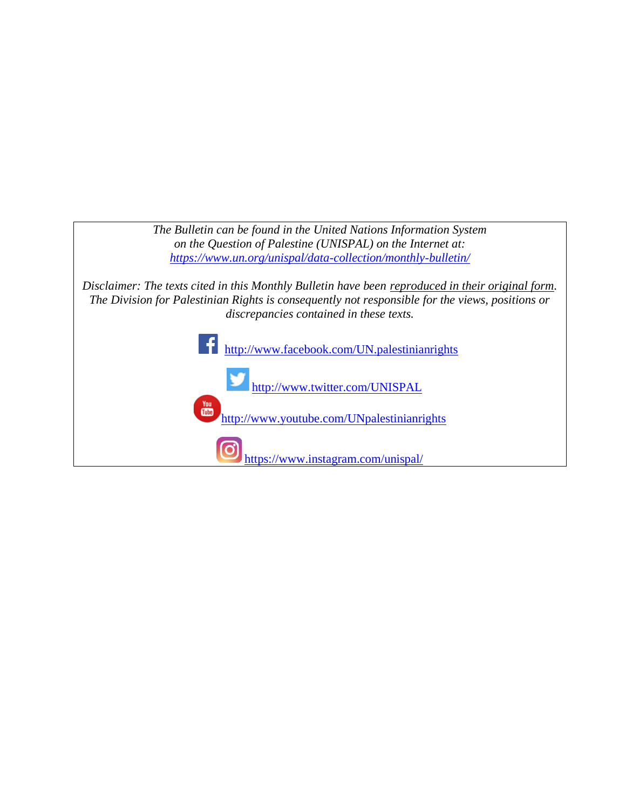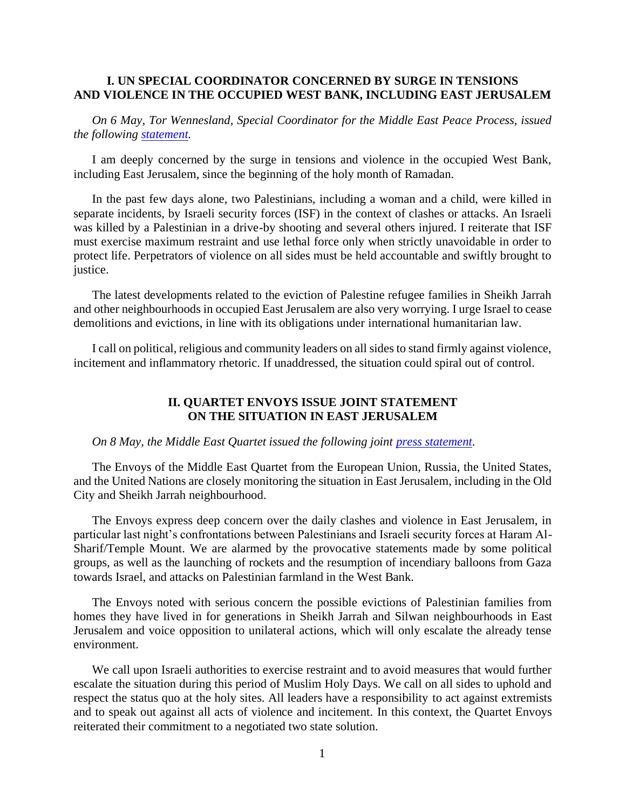#### **I. UN SPECIAL COORDINATOR CONCERNED BY SURGE IN TENSIONS AND VIOLENCE IN THE OCCUPIED WEST BANK, INCLUDING EAST JERUSALEM**

*On 6 May, Tor Wennesland, Special Coordinator for the Middle East Peace Process, issued the following [statement.](https://www.un.org/unispal/document/statement-by-special-coordinator-on-the-surge-in-tensions-and-violence-in-the-occupied-west-bank-including-east-jerusalem/)*

I am deeply concerned by the surge in tensions and violence in the occupied West Bank, including East Jerusalem, since the beginning of the holy month of Ramadan.

In the past few days alone, two Palestinians, including a woman and a child, were killed in separate incidents, by Israeli security forces (ISF) in the context of clashes or attacks. An Israeli was killed by a Palestinian in a drive-by shooting and several others injured. I reiterate that ISF must exercise maximum restraint and use lethal force only when strictly unavoidable in order to protect life. Perpetrators of violence on all sides must be held accountable and swiftly brought to justice.

The latest developments related to the eviction of Palestine refugee families in Sheikh Jarrah and other neighbourhoods in occupied East Jerusalem are also very worrying. I urge Israel to cease demolitions and evictions, in line with its obligations under international humanitarian law.

I call on political, religious and community leaders on all sides to stand firmly against violence, incitement and inflammatory rhetoric. If unaddressed, the situation could spiral out of control.

#### **II. QUARTET ENVOYS ISSUE JOINT STATEMENT ON THE SITUATION IN EAST JERUSALEM**

#### *On 8 May, the Middle East Quartet issued the following joint [press statement.](https://www.un.org/unispal/document/joint-press-statement-of-the-middle-east-quartet-envoys-on-the-situation-in-east-jerusalem/)*

The Envoys of the Middle East Quartet from the European Union, Russia, the United States, and the United Nations are closely monitoring the situation in East Jerusalem, including in the Old City and Sheikh Jarrah neighbourhood.

The Envoys express deep concern over the daily clashes and violence in East Jerusalem, in particular last night's confrontations between Palestinians and Israeli security forces at Haram Al-Sharif/Temple Mount. We are alarmed by the provocative statements made by some political groups, as well as the launching of rockets and the resumption of incendiary balloons from Gaza towards Israel, and attacks on Palestinian farmland in the West Bank.

The Envoys noted with serious concern the possible evictions of Palestinian families from homes they have lived in for generations in Sheikh Jarrah and Silwan neighbourhoods in East Jerusalem and voice opposition to unilateral actions, which will only escalate the already tense environment.

We call upon Israeli authorities to exercise restraint and to avoid measures that would further escalate the situation during this period of Muslim Holy Days. We call on all sides to uphold and respect the status quo at the holy sites. All leaders have a responsibility to act against extremists and to speak out against all acts of violence and incitement. In this context, the Quartet Envoys reiterated their commitment to a negotiated two state solution.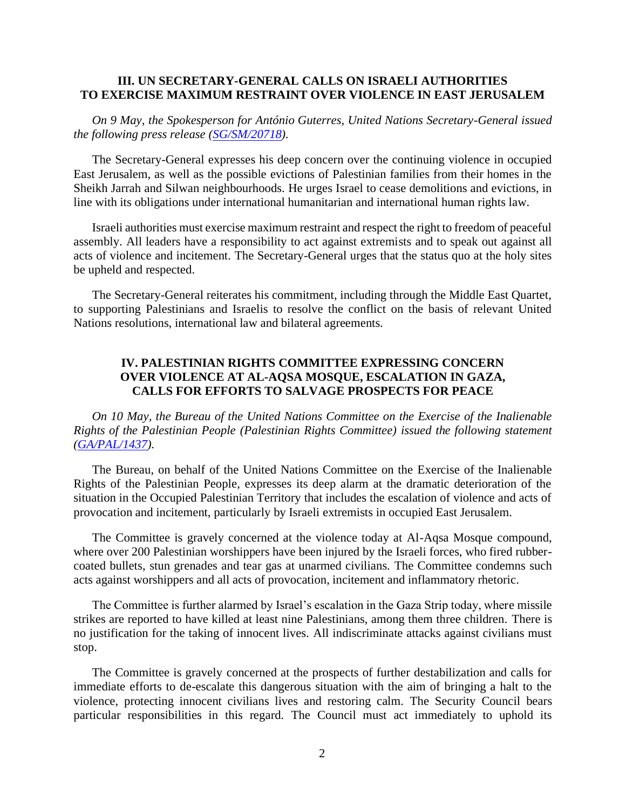#### **III. UN SECRETARY-GENERAL CALLS ON ISRAELI AUTHORITIES TO EXERCISE MAXIMUM RESTRAINT OVER VIOLENCE IN EAST JERUSALEM**

*On 9 May, the Spokesperson for António Guterres, United Nations Secretary-General issued the following press release [\(SG/SM/20718\)](https://www.un.org/unispal/document/deeply-concerned-over-violence-in-occupied-east-jerusalem-secretary-general-calls-on-israeli-authorities-to-exercise-maximum-restraint-press-release-sg-sm-20718/).*

The Secretary-General expresses his deep concern over the continuing violence in occupied East Jerusalem, as well as the possible evictions of Palestinian families from their homes in the Sheikh Jarrah and Silwan neighbourhoods. He urges Israel to cease demolitions and evictions, in line with its obligations under international humanitarian and international human rights law.

Israeli authorities must exercise maximum restraint and respect the right to freedom of peaceful assembly. All leaders have a responsibility to act against extremists and to speak out against all acts of violence and incitement. The Secretary-General urges that the status quo at the holy sites be upheld and respected.

The Secretary-General reiterates his commitment, including through the Middle East Quartet, to supporting Palestinians and Israelis to resolve the conflict on the basis of relevant United Nations resolutions, international law and bilateral agreements.

# **IV. PALESTINIAN RIGHTS COMMITTEE EXPRESSING CONCERN OVER VIOLENCE AT AL-AQSA MOSQUE, ESCALATION IN GAZA, CALLS FOR EFFORTS TO SALVAGE PROSPECTS FOR PEACE**

*On 10 May, the Bureau of the United Nations Committee on the Exercise of the Inalienable Rights of the Palestinian People (Palestinian Rights Committee) issued the following statement [\(GA/PAL/1437\)](https://www.un.org/unispal/document/statement-by-palestinian-rights-committee-on-escalation-of-violence-in-occupied-east-jerusalem/).*

The Bureau, on behalf of the United Nations Committee on the Exercise of the Inalienable Rights of the Palestinian People, expresses its deep alarm at the dramatic deterioration of the situation in the Occupied Palestinian Territory that includes the escalation of violence and acts of provocation and incitement, particularly by Israeli extremists in occupied East Jerusalem.

The Committee is gravely concerned at the violence today at Al-Aqsa Mosque compound, where over 200 Palestinian worshippers have been injured by the Israeli forces, who fired rubbercoated bullets, stun grenades and tear gas at unarmed civilians. The Committee condemns such acts against worshippers and all acts of provocation, incitement and inflammatory rhetoric.

The Committee is further alarmed by Israel's escalation in the Gaza Strip today, where missile strikes are reported to have killed at least nine Palestinians, among them three children. There is no justification for the taking of innocent lives. All indiscriminate attacks against civilians must stop.

The Committee is gravely concerned at the prospects of further destabilization and calls for immediate efforts to de-escalate this dangerous situation with the aim of bringing a halt to the violence, protecting innocent civilians lives and restoring calm. The Security Council bears particular responsibilities in this regard. The Council must act immediately to uphold its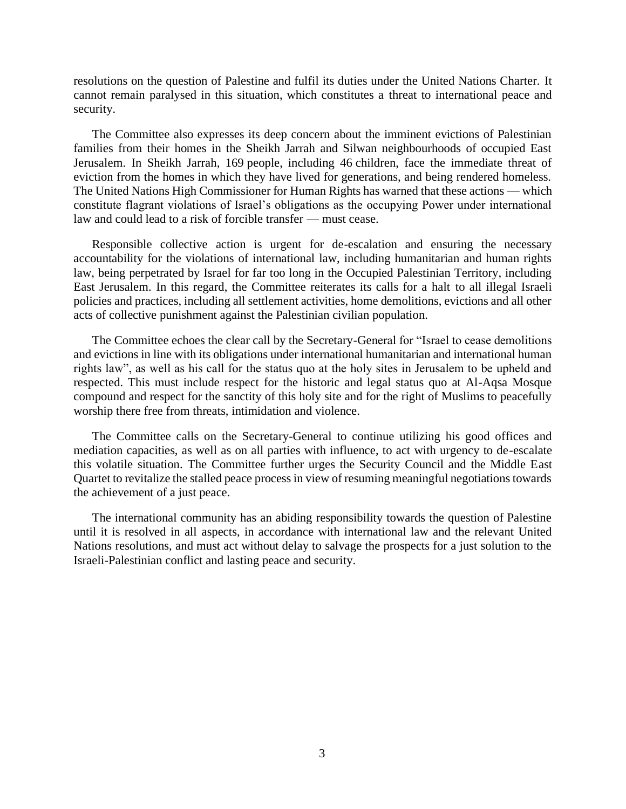resolutions on the question of Palestine and fulfil its duties under the United Nations Charter. It cannot remain paralysed in this situation, which constitutes a threat to international peace and security.

The Committee also expresses its deep concern about the imminent evictions of Palestinian families from their homes in the Sheikh Jarrah and Silwan neighbourhoods of occupied East Jerusalem. In Sheikh Jarrah, 169 people, including 46 children, face the immediate threat of eviction from the homes in which they have lived for generations, and being rendered homeless. The United Nations High Commissioner for Human Rights has warned that these actions — which constitute flagrant violations of Israel's obligations as the occupying Power under international law and could lead to a risk of forcible transfer — must cease.

Responsible collective action is urgent for de-escalation and ensuring the necessary accountability for the violations of international law, including humanitarian and human rights law, being perpetrated by Israel for far too long in the Occupied Palestinian Territory, including East Jerusalem. In this regard, the Committee reiterates its calls for a halt to all illegal Israeli policies and practices, including all settlement activities, home demolitions, evictions and all other acts of collective punishment against the Palestinian civilian population.

The Committee echoes the clear call by the Secretary-General for "Israel to cease demolitions and evictions in line with its obligations under international humanitarian and international human rights law", as well as his call for the status quo at the holy sites in Jerusalem to be upheld and respected. This must include respect for the historic and legal status quo at Al-Aqsa Mosque compound and respect for the sanctity of this holy site and for the right of Muslims to peacefully worship there free from threats, intimidation and violence.

The Committee calls on the Secretary-General to continue utilizing his good offices and mediation capacities, as well as on all parties with influence, to act with urgency to de-escalate this volatile situation. The Committee further urges the Security Council and the Middle East Quartet to revitalize the stalled peace process in view of resuming meaningful negotiations towards the achievement of a just peace.

The international community has an abiding responsibility towards the question of Palestine until it is resolved in all aspects, in accordance with international law and the relevant United Nations resolutions, and must act without delay to salvage the prospects for a just solution to the Israeli-Palestinian conflict and lasting peace and security.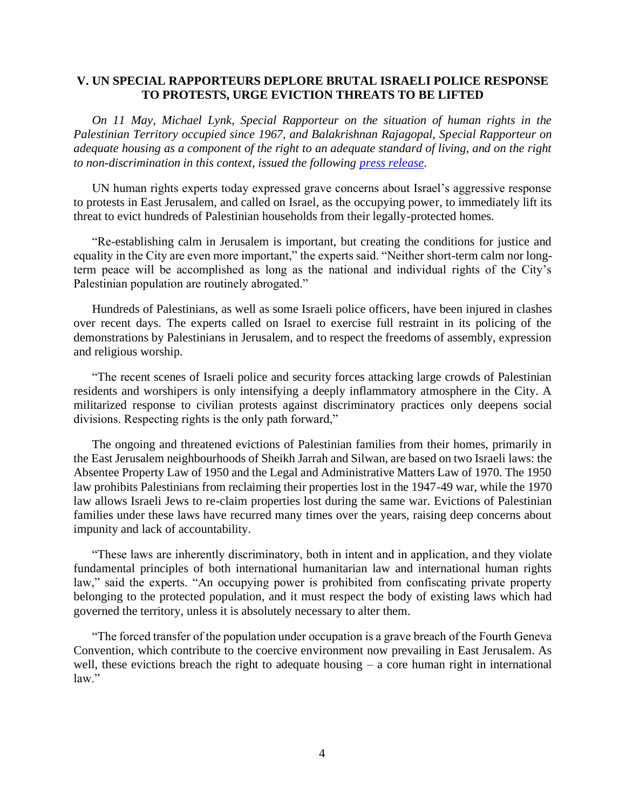#### **V. UN SPECIAL RAPPORTEURS DEPLORE BRUTAL ISRAELI POLICE RESPONSE TO PROTESTS, URGE EVICTION THREATS TO BE LIFTED**

*On 11 May, Michael Lynk, Special Rapporteur on the situation of human rights in the Palestinian Territory occupied since 1967, and Balakrishnan Rajagopal, Special Rapporteur on adequate housing as a component of the right to an adequate standard of living, and on the right to non-discrimination in this context, issued the following [press release.](https://www.un.org/unispal/document/un-experts-explore-brutal-police-response-to-protests-urge-eviction-threats-to-be-lifted-press-release/)*

UN human rights experts today expressed grave concerns about Israel's aggressive response to protests in East Jerusalem, and called on Israel, as the occupying power, to immediately lift its threat to evict hundreds of Palestinian households from their legally-protected homes.

"Re-establishing calm in Jerusalem is important, but creating the conditions for justice and equality in the City are even more important," the experts said. "Neither short-term calm nor longterm peace will be accomplished as long as the national and individual rights of the City's Palestinian population are routinely abrogated."

Hundreds of Palestinians, as well as some Israeli police officers, have been injured in clashes over recent days. The experts called on Israel to exercise full restraint in its policing of the demonstrations by Palestinians in Jerusalem, and to respect the freedoms of assembly, expression and religious worship.

"The recent scenes of Israeli police and security forces attacking large crowds of Palestinian residents and worshipers is only intensifying a deeply inflammatory atmosphere in the City. A militarized response to civilian protests against discriminatory practices only deepens social divisions. Respecting rights is the only path forward,"

The ongoing and threatened evictions of Palestinian families from their homes, primarily in the East Jerusalem neighbourhoods of Sheikh Jarrah and Silwan, are based on two Israeli laws: the Absentee Property Law of 1950 and the Legal and Administrative Matters Law of 1970. The 1950 law prohibits Palestinians from reclaiming their properties lost in the 1947-49 war, while the 1970 law allows Israeli Jews to re-claim properties lost during the same war. Evictions of Palestinian families under these laws have recurred many times over the years, raising deep concerns about impunity and lack of accountability.

"These laws are inherently discriminatory, both in intent and in application, and they violate fundamental principles of both international humanitarian law and international human rights law," said the experts. "An occupying power is prohibited from confiscating private property belonging to the protected population, and it must respect the body of existing laws which had governed the territory, unless it is absolutely necessary to alter them.

"The forced transfer of the population under occupation is a grave breach of the Fourth Geneva Convention, which contribute to the coercive environment now prevailing in East Jerusalem. As well, these evictions breach the right to adequate housing – a core human right in international law."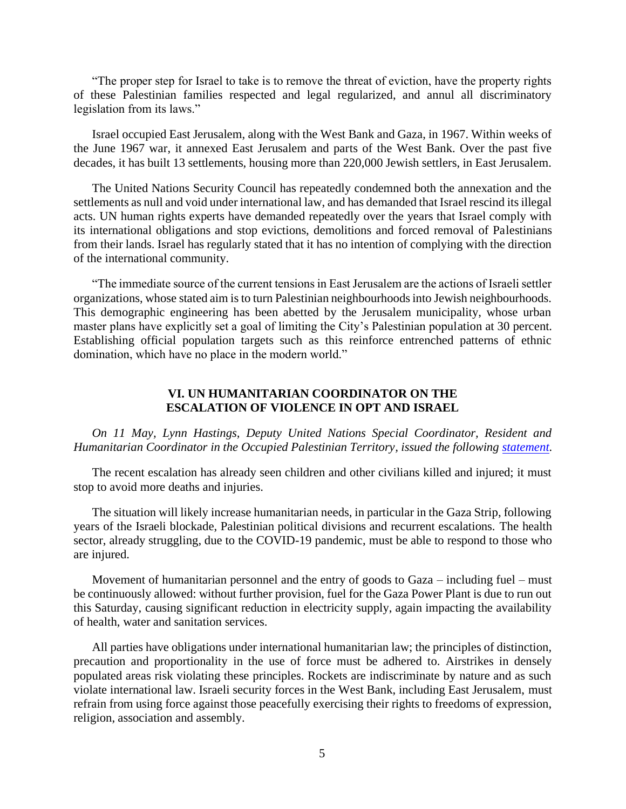"The proper step for Israel to take is to remove the threat of eviction, have the property rights of these Palestinian families respected and legal regularized, and annul all discriminatory legislation from its laws."

Israel occupied East Jerusalem, along with the West Bank and Gaza, in 1967. Within weeks of the June 1967 war, it annexed East Jerusalem and parts of the West Bank. Over the past five decades, it has built 13 settlements, housing more than 220,000 Jewish settlers, in East Jerusalem.

The United Nations Security Council has repeatedly condemned both the annexation and the settlements as null and void under international law, and has demanded that Israel rescind its illegal acts. UN human rights experts have demanded repeatedly over the years that Israel comply with its international obligations and stop evictions, demolitions and forced removal of Palestinians from their lands. Israel has regularly stated that it has no intention of complying with the direction of the international community.

"The immediate source of the current tensions in East Jerusalem are the actions of Israeli settler organizations, whose stated aim is to turn Palestinian neighbourhoods into Jewish neighbourhoods. This demographic engineering has been abetted by the Jerusalem municipality, whose urban master plans have explicitly set a goal of limiting the City's Palestinian population at 30 percent. Establishing official population targets such as this reinforce entrenched patterns of ethnic domination, which have no place in the modern world."

#### **VI. UN HUMANITARIAN COORDINATOR ON THE ESCALATION OF VIOLENCE IN OPT AND ISRAEL**

#### *On 11 May, Lynn Hastings, Deputy United Nations Special Coordinator, Resident and Humanitarian Coordinator in the Occupied Palestinian Territory, issued the following [statement.](https://www.un.org/unispal/document/statement-by-humanitarian-coordinator-hastings-on-escalation-of-violence-in-opt-and-israel/)*

The recent escalation has already seen children and other civilians killed and injured; it must stop to avoid more deaths and injuries.

The situation will likely increase humanitarian needs, in particular in the Gaza Strip, following years of the Israeli blockade, Palestinian political divisions and recurrent escalations. The health sector, already struggling, due to the COVID-19 pandemic, must be able to respond to those who are injured.

Movement of humanitarian personnel and the entry of goods to Gaza – including fuel – must be continuously allowed: without further provision, fuel for the Gaza Power Plant is due to run out this Saturday, causing significant reduction in electricity supply, again impacting the availability of health, water and sanitation services.

All parties have obligations under international humanitarian law; the principles of distinction, precaution and proportionality in the use of force must be adhered to. Airstrikes in densely populated areas risk violating these principles. Rockets are indiscriminate by nature and as such violate international law. Israeli security forces in the West Bank, including East Jerusalem, must refrain from using force against those peacefully exercising their rights to freedoms of expression, religion, association and assembly.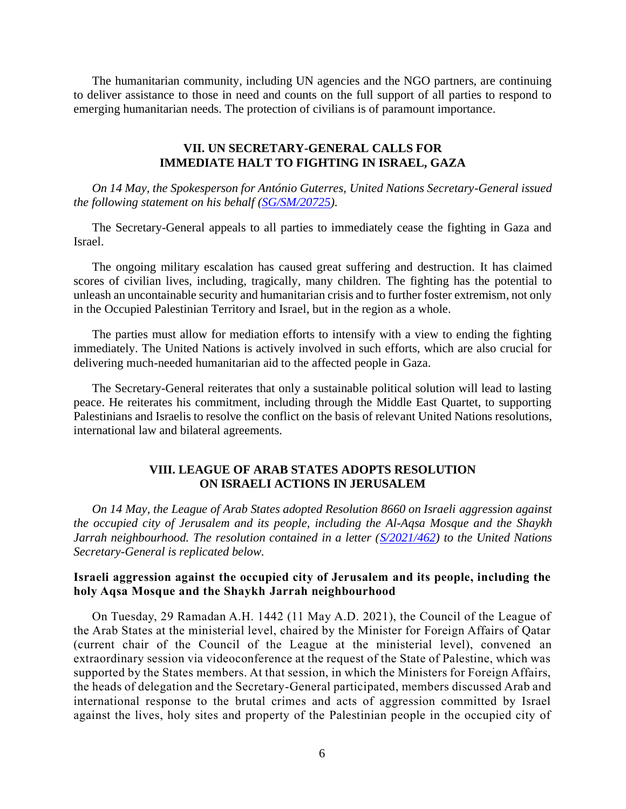The humanitarian community, including UN agencies and the NGO partners, are continuing to deliver assistance to those in need and counts on the full support of all parties to respond to emerging humanitarian needs. The protection of civilians is of paramount importance.

### **VII. UN SECRETARY-GENERAL CALLS FOR IMMEDIATE HALT TO FIGHTING IN ISRAEL, GAZA**

*On 14 May, the Spokesperson for António Guterres, United Nations Secretary-General issued the following statement on his behalf [\(SG/SM/20725\)](https://www.un.org/unispal/document/secretary-general-calls-for-immediate-halt-to-fighting-in-israel-gaza-statement-sg-sm-20725/).*

The Secretary-General appeals to all parties to immediately cease the fighting in Gaza and Israel.

The ongoing military escalation has caused great suffering and destruction. It has claimed scores of civilian lives, including, tragically, many children. The fighting has the potential to unleash an uncontainable security and humanitarian crisis and to further foster extremism, not only in the Occupied Palestinian Territory and Israel, but in the region as a whole.

The parties must allow for mediation efforts to intensify with a view to ending the fighting immediately. The United Nations is actively involved in such efforts, which are also crucial for delivering much-needed humanitarian aid to the affected people in Gaza.

The Secretary-General reiterates that only a sustainable political solution will lead to lasting peace. He reiterates his commitment, including through the Middle East Quartet, to supporting Palestinians and Israelis to resolve the conflict on the basis of relevant United Nations resolutions, international law and bilateral agreements.

#### **VIII. LEAGUE OF ARAB STATES ADOPTS RESOLUTION ON ISRAELI ACTIONS IN JERUSALEM**

*On 14 May, the League of Arab States adopted Resolution 8660 on Israeli aggression against the occupied city of Jerusalem and its people, including the Al-Aqsa Mosque and the Shaykh Jarrah neighbourhood. The resolution contained in a letter [\(S/2021/462\)](https://www.un.org/unispal/document/league-of-arab-states-resolution-8660-israeli-aggression-against-the-occupied-city-of-jerusalem-and-its-people-including-the-holy-al-aqsa-mosque-and-the-sheikh-jarrah-neighbourhood/) to the United Nations Secretary-General is replicated below.*

# **Israeli aggression against the occupied city of Jerusalem and its people, including the holy Aqsa Mosque and the Shaykh Jarrah neighbourhood**

On Tuesday, 29 Ramadan A.H. 1442 (11 May A.D. 2021), the Council of the League of the Arab States at the ministerial level, chaired by the Minister for Foreign Affairs of Qatar (current chair of the Council of the League at the ministerial level), convened an extraordinary session via videoconference at the request of the State of Palestine, which was supported by the States members. At that session, in which the Ministers for Foreign Affairs, the heads of delegation and the Secretary-General participated, members discussed Arab and international response to the brutal crimes and acts of aggression committed by Israel against the lives, holy sites and property of the Palestinian people in the occupied city of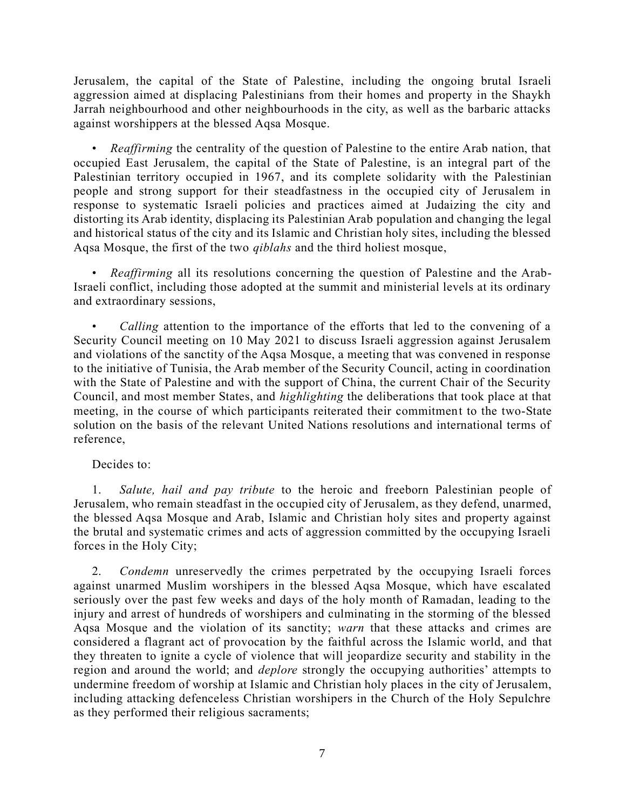Jerusalem, the capital of the State of Palestine, including the ongoing brutal Israeli aggression aimed at displacing Palestinians from their homes and property in the Shaykh Jarrah neighbourhood and other neighbourhoods in the city, as well as the barbaric attacks against worshippers at the blessed Aqsa Mosque.

• *Reaffirming* the centrality of the question of Palestine to the entire Arab nation, that occupied East Jerusalem, the capital of the State of Palestine, is an integral part of the Palestinian territory occupied in 1967, and its complete solidarity with the Palestinian people and strong support for their steadfastness in the occupied city of Jerusalem in response to systematic Israeli policies and practices aimed at Judaizing the city and distorting its Arab identity, displacing its Palestinian Arab population and changing the legal and historical status of the city and its Islamic and Christian holy sites, including the blessed Aqsa Mosque, the first of the two *qiblahs* and the third holiest mosque,

• *Reaffirming* all its resolutions concerning the question of Palestine and the Arab-Israeli conflict, including those adopted at the summit and ministerial levels at its ordinary and extraordinary sessions,

• *Calling* attention to the importance of the efforts that led to the convening of a Security Council meeting on 10 May 2021 to discuss Israeli aggression against Jerusalem and violations of the sanctity of the Aqsa Mosque, a meeting that was convened in response to the initiative of Tunisia, the Arab member of the Security Council, acting in coordination with the State of Palestine and with the support of China, the current Chair of the Security Council, and most member States, and *highlighting* the deliberations that took place at that meeting, in the course of which participants reiterated their commitment to the two-State solution on the basis of the relevant United Nations resolutions and international terms of reference,

# Decides to:

1. *Salute, hail and pay tribute* to the heroic and freeborn Palestinian people of Jerusalem, who remain steadfast in the occupied city of Jerusalem, as they defend, unarmed, the blessed Aqsa Mosque and Arab, Islamic and Christian holy sites and property against the brutal and systematic crimes and acts of aggression committed by the occupying Israeli forces in the Holy City;

2. *Condemn* unreservedly the crimes perpetrated by the occupying Israeli forces against unarmed Muslim worshipers in the blessed Aqsa Mosque, which have escalated seriously over the past few weeks and days of the holy month of Ramadan, leading to the injury and arrest of hundreds of worshipers and culminating in the storming of the blessed Aqsa Mosque and the violation of its sanctity; *warn* that these attacks and crimes are considered a flagrant act of provocation by the faithful across the Islamic world, and that they threaten to ignite a cycle of violence that will jeopardize security and stability in the region and around the world; and *deplore* strongly the occupying authorities' attempts to undermine freedom of worship at Islamic and Christian holy places in the city of Jerusalem, including attacking defenceless Christian worshipers in the Church of the Holy Sepulchre as they performed their religious sacraments;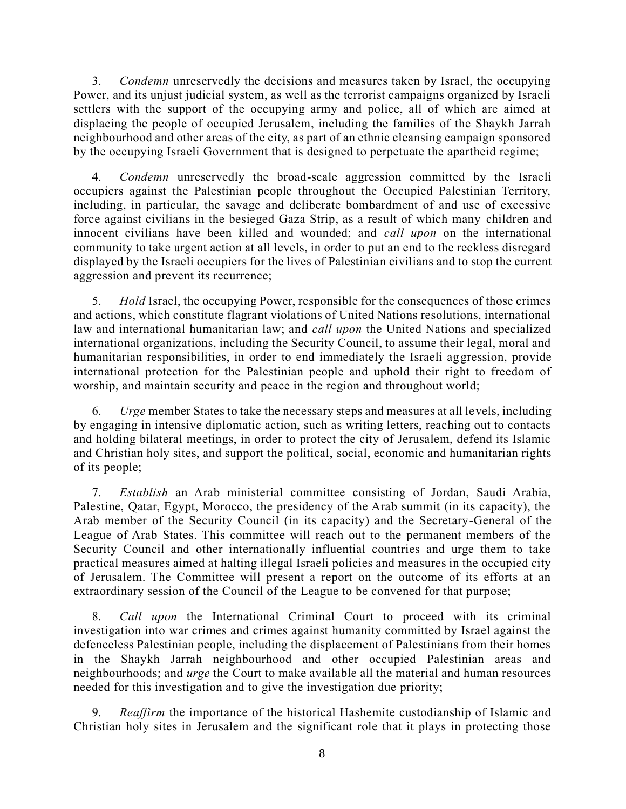3. *Condemn* unreservedly the decisions and measures taken by Israel, the occupying Power, and its unjust judicial system, as well as the terrorist campaigns organized by Israeli settlers with the support of the occupying army and police, all of which are aimed at displacing the people of occupied Jerusalem, including the families of the Shaykh Jarrah neighbourhood and other areas of the city, as part of an ethnic cleansing campaign sponsored by the occupying Israeli Government that is designed to perpetuate the apartheid regime;

4. *Condemn* unreservedly the broad-scale aggression committed by the Israeli occupiers against the Palestinian people throughout the Occupied Palestinian Territory, including, in particular, the savage and deliberate bombardment of and use of excessive force against civilians in the besieged Gaza Strip, as a result of which many children and innocent civilians have been killed and wounded; and *call upon* on the international community to take urgent action at all levels, in order to put an end to the reckless disregard displayed by the Israeli occupiers for the lives of Palestinian civilians and to stop the current aggression and prevent its recurrence;

5. *Hold* Israel, the occupying Power, responsible for the consequences of those crimes and actions, which constitute flagrant violations of United Nations resolutions, international law and international humanitarian law; and *call upon* the United Nations and specialized international organizations, including the Security Council, to assume their legal, moral and humanitarian responsibilities, in order to end immediately the Israeli aggression, provide international protection for the Palestinian people and uphold their right to freedom of worship, and maintain security and peace in the region and throughout world;

6. *Urge* member States to take the necessary steps and measures at all levels, including by engaging in intensive diplomatic action, such as writing letters, reaching out to contacts and holding bilateral meetings, in order to protect the city of Jerusalem, defend its Islamic and Christian holy sites, and support the political, social, economic and humanitarian rights of its people;

7. *Establish* an Arab ministerial committee consisting of Jordan, Saudi Arabia, Palestine, Qatar, Egypt, Morocco, the presidency of the Arab summit (in its capacity), the Arab member of the Security Council (in its capacity) and the Secretary-General of the League of Arab States. This committee will reach out to the permanent members of the Security Council and other internationally influential countries and urge them to take practical measures aimed at halting illegal Israeli policies and measures in the occupied city of Jerusalem. The Committee will present a report on the outcome of its efforts at an extraordinary session of the Council of the League to be convened for that purpose;

8. *Call upon* the International Criminal Court to proceed with its criminal investigation into war crimes and crimes against humanity committed by Israel against the defenceless Palestinian people, including the displacement of Palestinians from their homes in the Shaykh Jarrah neighbourhood and other occupied Palestinian areas and neighbourhoods; and *urge* the Court to make available all the material and human resources needed for this investigation and to give the investigation due priority;

9. *Reaffirm* the importance of the historical Hashemite custodianship of Islamic and Christian holy sites in Jerusalem and the significant role that it plays in protecting those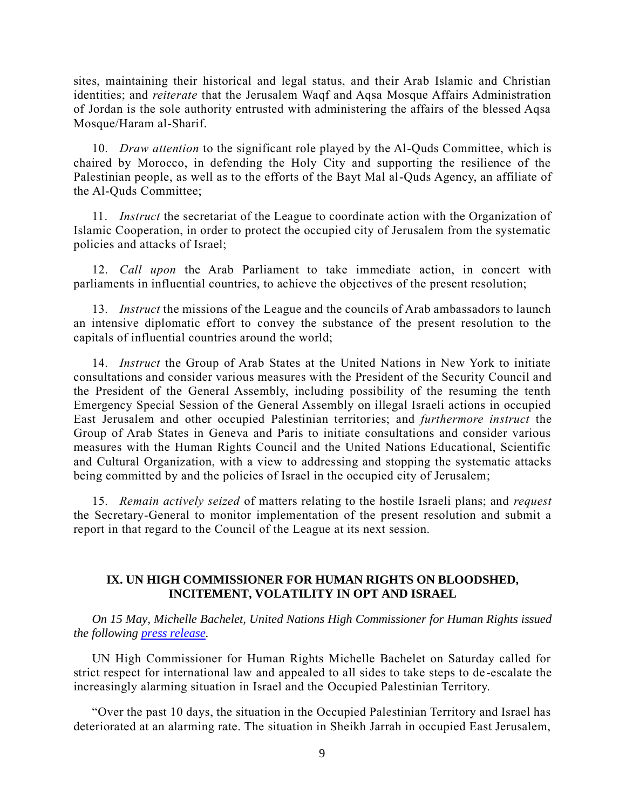sites, maintaining their historical and legal status, and their Arab Islamic and Christian identities; and *reiterate* that the Jerusalem Waqf and Aqsa Mosque Affairs Administration of Jordan is the sole authority entrusted with administering the affairs of the blessed Aqsa Mosque/Haram al-Sharif.

10. *Draw attention* to the significant role played by the Al-Quds Committee, which is chaired by Morocco, in defending the Holy City and supporting the resilience of the Palestinian people, as well as to the efforts of the Bayt Mal al-Quds Agency, an affiliate of the Al-Quds Committee;

11. *Instruct* the secretariat of the League to coordinate action with the Organization of Islamic Cooperation, in order to protect the occupied city of Jerusalem from the systematic policies and attacks of Israel;

12. *Call upon* the Arab Parliament to take immediate action, in concert with parliaments in influential countries, to achieve the objectives of the present resolution;

13. *Instruct* the missions of the League and the councils of Arab ambassadors to launch an intensive diplomatic effort to convey the substance of the present resolution to the capitals of influential countries around the world;

14. *Instruct* the Group of Arab States at the United Nations in New York to initiate consultations and consider various measures with the President of the Security Council and the President of the General Assembly, including possibility of the resuming the tenth Emergency Special Session of the General Assembly on illegal Israeli actions in occupied East Jerusalem and other occupied Palestinian territories; and *furthermore instruct* the Group of Arab States in Geneva and Paris to initiate consultations and consider various measures with the Human Rights Council and the United Nations Educational, Scientific and Cultural Organization, with a view to addressing and stopping the systematic attacks being committed by and the policies of Israel in the occupied city of Jerusalem;

15. *Remain actively seized* of matters relating to the hostile Israeli plans; and *request* the Secretary-General to monitor implementation of the present resolution and submit a report in that regard to the Council of the League at its next session.

#### **IX. UN HIGH COMMISSIONER FOR HUMAN RIGHTS ON BLOODSHED, INCITEMENT, VOLATILITY IN OPT AND ISRAEL**

*On 15 May, Michelle Bachelet, United Nations High Commissioner for Human Rights issued the following [press release.](https://www.un.org/unispal/document/un-high-commissioner-for-human-rights-bachelet-appeals-for-de-escalation-amid-increasing-bloodshed-incitement-volatility-in-opt-and-israel-press-release/)*

UN High Commissioner for Human Rights Michelle Bachelet on Saturday called for strict respect for international law and appealed to all sides to take steps to de -escalate the increasingly alarming situation in Israel and the Occupied Palestinian Territory.

"Over the past 10 days, the situation in the Occupied Palestinian Territory and Israel has deteriorated at an alarming rate. The situation in Sheikh Jarrah in occupied East Jerusalem,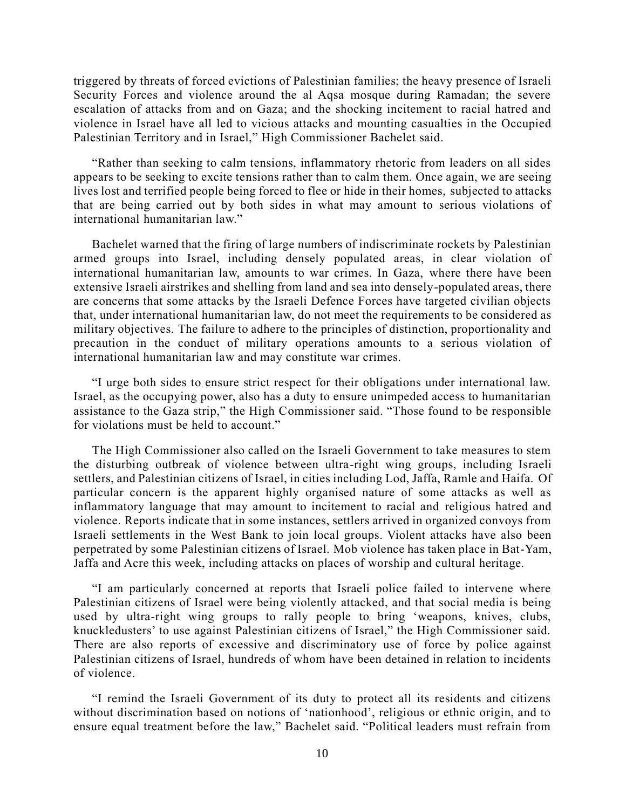triggered by threats of forced evictions of Palestinian families; the heavy presence of Israeli Security Forces and violence around the al Aqsa mosque during Ramadan; the severe escalation of attacks from and on Gaza; and the shocking incitement to racial hatred and violence in Israel have all led to vicious attacks and mounting casualties in the Occupied Palestinian Territory and in Israel," High Commissioner Bachelet said.

"Rather than seeking to calm tensions, inflammatory rhetoric from leaders on all sides appears to be seeking to excite tensions rather than to calm them. Once again, we are seeing lives lost and terrified people being forced to flee or hide in their homes, subjected to attacks that are being carried out by both sides in what may amount to serious violations of international humanitarian law."

Bachelet warned that the firing of large numbers of indiscriminate rockets by Palestinian armed groups into Israel, including densely populated areas, in clear violation of international humanitarian law, amounts to war crimes. In Gaza, where there have been extensive Israeli airstrikes and shelling from land and sea into densely-populated areas, there are concerns that some attacks by the Israeli Defence Forces have targeted civilian objects that, under international humanitarian law, do not meet the requirements to be considered as military objectives. The failure to adhere to the principles of distinction, proportionality and precaution in the conduct of military operations amounts to a serious violation of international humanitarian law and may constitute war crimes.

"I urge both sides to ensure strict respect for their obligations under international law. Israel, as the occupying power, also has a duty to ensure unimpeded access to humanitarian assistance to the Gaza strip," the High Commissioner said. "Those found to be responsible for violations must be held to account."

The High Commissioner also called on the Israeli Government to take measures to stem the disturbing outbreak of violence between ultra-right wing groups, including Israeli settlers, and Palestinian citizens of Israel, in cities including Lod, Jaffa, Ramle and Haifa. Of particular concern is the apparent highly organised nature of some attacks as well as inflammatory language that may amount to incitement to racial and religious hatred and violence. Reports indicate that in some instances, settlers arrived in organized convoys from Israeli settlements in the West Bank to join local groups. Violent attacks have also been perpetrated by some Palestinian citizens of Israel. Mob violence has taken place in Bat-Yam, Jaffa and Acre this week, including attacks on places of worship and cultural heritage.

"I am particularly concerned at reports that Israeli police failed to intervene where Palestinian citizens of Israel were being violently attacked, and that social media is being used by ultra-right wing groups to rally people to bring 'weapons, knives, clubs, knuckledusters' to use against Palestinian citizens of Israel," the High Commissioner said. There are also reports of excessive and discriminatory use of force by police against Palestinian citizens of Israel, hundreds of whom have been detained in relation to incidents of violence.

"I remind the Israeli Government of its duty to protect all its residents and citizens without discrimination based on notions of 'nationhood', religious or ethnic origin, and to ensure equal treatment before the law," Bachelet said. "Political leaders must refrain from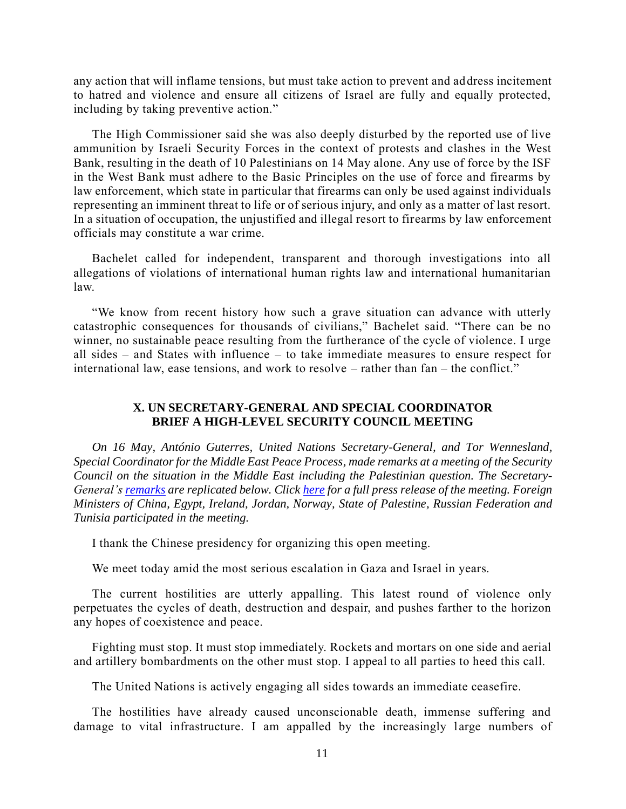any action that will inflame tensions, but must take action to prevent and address incitement to hatred and violence and ensure all citizens of Israel are fully and equally protected, including by taking preventive action."

The High Commissioner said she was also deeply disturbed by the reported use of live ammunition by Israeli Security Forces in the context of protests and clashes in the West Bank, resulting in the death of 10 Palestinians on 14 May alone. Any use of force by the ISF in the West Bank must adhere to the Basic Principles on the use of force and firearms by law enforcement, which state in particular that firearms can only be used against individuals representing an imminent threat to life or of serious injury, and only as a matter of last resort. In a situation of occupation, the unjustified and illegal resort to firearms by law enforcement officials may constitute a war crime.

Bachelet called for independent, transparent and thorough investigations into all allegations of violations of international human rights law and international humanitarian law.

"We know from recent history how such a grave situation can advance with utterly catastrophic consequences for thousands of civilians," Bachelet said. "There can be no winner, no sustainable peace resulting from the furtherance of the cycle of violence. I urge all sides – and States with influence – to take immediate measures to ensure respect for international law, ease tensions, and work to resolve – rather than fan – the conflict."

#### **X. UN SECRETARY-GENERAL AND SPECIAL COORDINATOR BRIEF A HIGH-LEVEL SECURITY COUNCIL MEETING**

*On 16 May, António Guterres, United Nations Secretary-General, and Tor Wennesland, Special Coordinator for the Middle East Peace Process, made remarks at a meeting of the Security Council on the situation in the Middle East including the Palestinian question. The Secretary-General'[s remarks](https://www.un.org/unispal/document/secretary-generals-remarks-to-the-security-council-on-the-situation-in-the-middle-east-including-the-question-of-palestine/) are replicated below. Click [here](https://www.un.org/unispal/document/senseless-cycle-of-bloodshed-destruction-between-israel-palestinians-in-gaza-must-stop-now-secretary-general-tells-security-council-press-release-sc-14521/) for a full press release of the meeting. Foreign Ministers of China, Egypt, Ireland, Jordan, Norway, State of Palestine, Russian Federation and Tunisia participated in the meeting.* 

I thank the Chinese presidency for organizing this open meeting.

We meet today amid the most serious escalation in Gaza and Israel in years.

The current hostilities are utterly appalling. This latest round of violence only perpetuates the cycles of death, destruction and despair, and pushes farther to the horizon any hopes of coexistence and peace.

Fighting must stop. It must stop immediately. Rockets and mortars on one side and aerial and artillery bombardments on the other must stop. I appeal to all parties to heed this call.

The United Nations is actively engaging all sides towards an immediate ceasefire.

The hostilities have already caused unconscionable death, immense suffering and damage to vital infrastructure. I am appalled by the increasingly large numbers of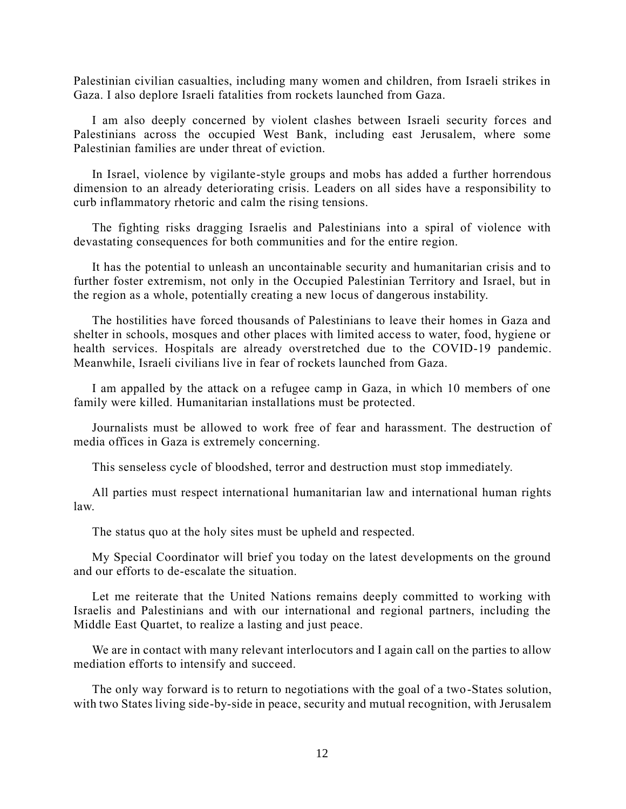Palestinian civilian casualties, including many women and children, from Israeli strikes in Gaza. I also deplore Israeli fatalities from rockets launched from Gaza.

I am also deeply concerned by violent clashes between Israeli security forces and Palestinians across the occupied West Bank, including east Jerusalem, where some Palestinian families are under threat of eviction.

In Israel, violence by vigilante-style groups and mobs has added a further horrendous dimension to an already deteriorating crisis. Leaders on all sides have a responsibility to curb inflammatory rhetoric and calm the rising tensions.

The fighting risks dragging Israelis and Palestinians into a spiral of violence with devastating consequences for both communities and for the entire region.

It has the potential to unleash an uncontainable security and humanitarian crisis and to further foster extremism, not only in the Occupied Palestinian Territory and Israel, but in the region as a whole, potentially creating a new locus of dangerous instability.

The hostilities have forced thousands of Palestinians to leave their homes in Gaza and shelter in schools, mosques and other places with limited access to water, food, hygiene or health services. Hospitals are already overstretched due to the COVID-19 pandemic. Meanwhile, Israeli civilians live in fear of rockets launched from Gaza.

I am appalled by the attack on a refugee camp in Gaza, in which 10 members of one family were killed. Humanitarian installations must be protected.

Journalists must be allowed to work free of fear and harassment. The destruction of media offices in Gaza is extremely concerning.

This senseless cycle of bloodshed, terror and destruction must stop immediately.

All parties must respect international humanitarian law and international human rights law.

The status quo at the holy sites must be upheld and respected.

My Special Coordinator will brief you today on the latest developments on the ground and our efforts to de-escalate the situation.

Let me reiterate that the United Nations remains deeply committed to working with Israelis and Palestinians and with our international and regional partners, including the Middle East Quartet, to realize a lasting and just peace.

We are in contact with many relevant interlocutors and I again call on the parties to allow mediation efforts to intensify and succeed.

The only way forward is to return to negotiations with the goal of a two-States solution, with two States living side-by-side in peace, security and mutual recognition, with Jerusalem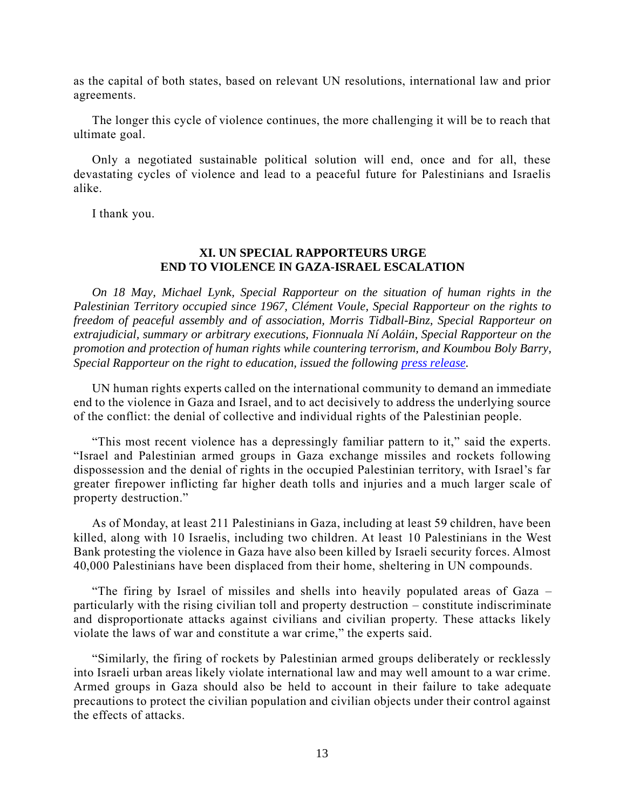as the capital of both states, based on relevant UN resolutions, international law and prior agreements.

The longer this cycle of violence continues, the more challenging it will be to reach that ultimate goal.

Only a negotiated sustainable political solution will end, once and for all, these devastating cycles of violence and lead to a peaceful future for Palestinians and Israelis alike.

I thank you.

# **XI. UN SPECIAL RAPPORTEURS URGE END TO VIOLENCE IN GAZA-ISRAEL ESCALATION**

*On 18 May, Michael Lynk, Special Rapporteur on the situation of human rights in the Palestinian Territory occupied since 1967, Clément Voule, Special Rapporteur on the rights to freedom of peaceful assembly and of association, Morris Tidball-Binz, Special Rapporteur on extrajudicial, summary or arbitrary executions, Fionnuala Ní Aoláin, Special Rapporteur on the promotion and protection of human rights while countering terrorism, and Koumbou Boly Barry, Special Rapporteur on the right to education, issued the following [press release.](https://www.un.org/unispal/document/gaza-israel-escalation-end-violence-now-then-work-to-end-occupation-say-un-special-rapporteurs-press-release/)*

UN human rights experts called on the international community to demand an immediate end to the violence in Gaza and Israel, and to act decisively to address the underlying source of the conflict: the denial of collective and individual rights of the Palestinian people.

"This most recent violence has a depressingly familiar pattern to it," said the experts. "Israel and Palestinian armed groups in Gaza exchange missiles and rockets following dispossession and the denial of rights in the occupied Palestinian territory, with Israel's far greater firepower inflicting far higher death tolls and injuries and a much larger scale of property destruction."

As of Monday, at least 211 Palestinians in Gaza, including at least 59 children, have been killed, along with 10 Israelis, including two children. At least 10 Palestinians in the West Bank protesting the violence in Gaza have also been killed by Israeli security forces. Almost 40,000 Palestinians have been displaced from their home, sheltering in UN compounds.

"The firing by Israel of missiles and shells into heavily populated areas of Gaza – particularly with the rising civilian toll and property destruction – constitute indiscriminate and disproportionate attacks against civilians and civilian property. These attacks likely violate the laws of war and constitute a war crime," the experts said.

"Similarly, the firing of rockets by Palestinian armed groups deliberately or recklessly into Israeli urban areas likely violate international law and may well amount to a war crime. Armed groups in Gaza should also be held to account in their failure to take adequate precautions to protect the civilian population and civilian objects under their control against the effects of attacks.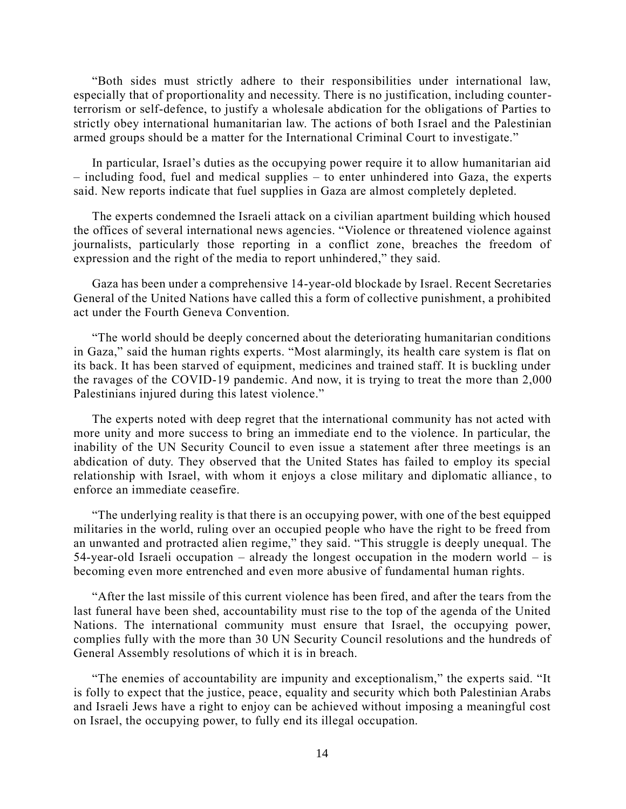"Both sides must strictly adhere to their responsibilities under international law, especially that of proportionality and necessity. There is no justification, including counterterrorism or self-defence, to justify a wholesale abdication for the obligations of Parties to strictly obey international humanitarian law. The actions of both Israel and the Palestinian armed groups should be a matter for the International Criminal Court to investigate."

In particular, Israel's duties as the occupying power require it to allow humanitarian aid – including food, fuel and medical supplies – to enter unhindered into Gaza, the experts said. New reports indicate that fuel supplies in Gaza are almost completely depleted.

The experts condemned the Israeli attack on a civilian apartment building which housed the offices of several international news agencies. "Violence or threatened violence against journalists, particularly those reporting in a conflict zone, breaches the freedom of expression and the right of the media to report unhindered," they said.

Gaza has been under a comprehensive 14-year-old blockade by Israel. Recent Secretaries General of the United Nations have called this a form of collective punishment, a prohibited act under the Fourth Geneva Convention.

"The world should be deeply concerned about the deteriorating humanitarian conditions in Gaza," said the human rights experts. "Most alarmingly, its health care system is flat on its back. It has been starved of equipment, medicines and trained staff. It is buckling under the ravages of the COVID-19 pandemic. And now, it is trying to treat the more than 2,000 Palestinians injured during this latest violence."

The experts noted with deep regret that the international community has not acted with more unity and more success to bring an immediate end to the violence. In particular, the inability of the UN Security Council to even issue a statement after three meetings is an abdication of duty. They observed that the United States has failed to employ its special relationship with Israel, with whom it enjoys a close military and diplomatic alliance , to enforce an immediate ceasefire.

"The underlying reality is that there is an occupying power, with one of the best equipped militaries in the world, ruling over an occupied people who have the right to be freed from an unwanted and protracted alien regime," they said. "This struggle is deeply unequal. The 54-year-old Israeli occupation – already the longest occupation in the modern world – is becoming even more entrenched and even more abusive of fundamental human rights.

"After the last missile of this current violence has been fired, and after the tears from the last funeral have been shed, accountability must rise to the top of the agenda of the United Nations. The international community must ensure that Israel, the occupying power, complies fully with the more than 30 UN Security Council resolutions and the hundreds of General Assembly resolutions of which it is in breach.

"The enemies of accountability are impunity and exceptionalism," the experts said. "It is folly to expect that the justice, peace, equality and security which both Palestinian Arabs and Israeli Jews have a right to enjoy can be achieved without imposing a meaningful cost on Israel, the occupying power, to fully end its illegal occupation.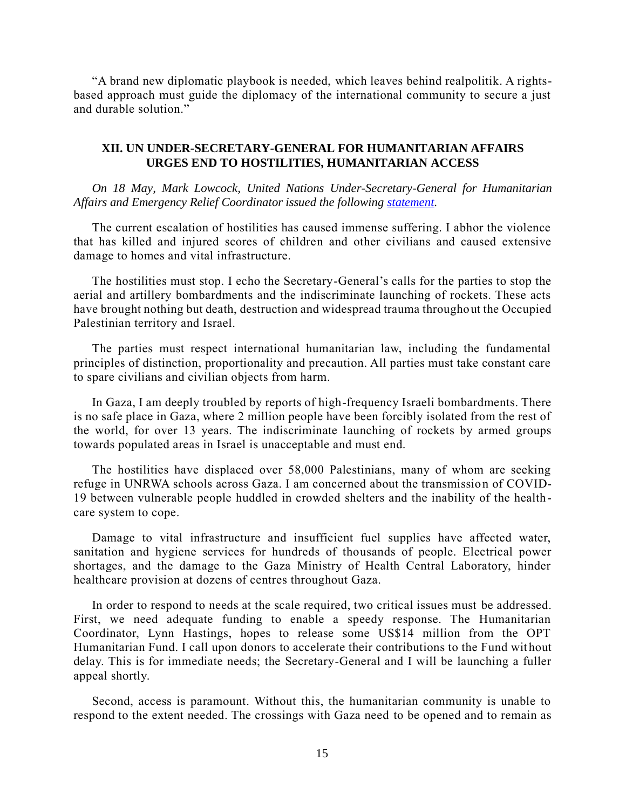"A brand new diplomatic playbook is needed, which leaves behind realpolitik. A rightsbased approach must guide the diplomacy of the international community to secure a just and durable solution."

#### **XII. UN UNDER-SECRETARY-GENERAL FOR HUMANITARIAN AFFAIRS URGES END TO HOSTILITIES, HUMANITARIAN ACCESS**

*On 18 May, Mark Lowcock, United Nations Under-Secretary-General for Humanitarian Affairs and Emergency Relief Coordinator issued the following [statement.](https://www.un.org/unispal/document/usg-for-humanitarian-affairs-and-emergency-relief-coordinator-mark-lowcock-statement-on-the-situation-in-the-opt-and-israel/)*

The current escalation of hostilities has caused immense suffering. I abhor the violence that has killed and injured scores of children and other civilians and caused extensive damage to homes and vital infrastructure.

The hostilities must stop. I echo the Secretary-General's calls for the parties to stop the aerial and artillery bombardments and the indiscriminate launching of rockets. These acts have brought nothing but death, destruction and widespread trauma throughout the Occupied Palestinian territory and Israel.

The parties must respect international humanitarian law, including the fundamental principles of distinction, proportionality and precaution. All parties must take constant care to spare civilians and civilian objects from harm.

In Gaza, I am deeply troubled by reports of high-frequency Israeli bombardments. There is no safe place in Gaza, where 2 million people have been forcibly isolated from the rest of the world, for over 13 years. The indiscriminate launching of rockets by armed groups towards populated areas in Israel is unacceptable and must end.

The hostilities have displaced over 58,000 Palestinians, many of whom are seeking refuge in UNRWA schools across Gaza. I am concerned about the transmission of COVID-19 between vulnerable people huddled in crowded shelters and the inability of the health care system to cope.

Damage to vital infrastructure and insufficient fuel supplies have affected water, sanitation and hygiene services for hundreds of thousands of people. Electrical power shortages, and the damage to the Gaza Ministry of Health Central Laboratory, hinder healthcare provision at dozens of centres throughout Gaza.

In order to respond to needs at the scale required, two critical issues must be addressed. First, we need adequate funding to enable a speedy response. The Humanitarian Coordinator, Lynn Hastings, hopes to release some US\$14 million from the OPT Humanitarian Fund. I call upon donors to accelerate their contributions to the Fund wit hout delay. This is for immediate needs; the Secretary-General and I will be launching a fuller appeal shortly.

Second, access is paramount. Without this, the humanitarian community is unable to respond to the extent needed. The crossings with Gaza need to be opened and to remain as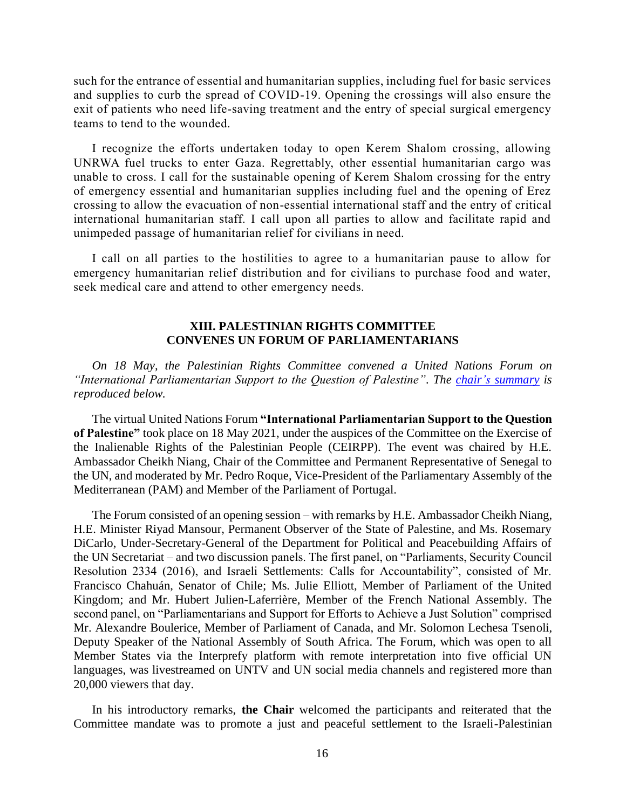such for the entrance of essential and humanitarian supplies, including fuel for basic services and supplies to curb the spread of COVID-19. Opening the crossings will also ensure the exit of patients who need life-saving treatment and the entry of special surgical emergency teams to tend to the wounded.

I recognize the efforts undertaken today to open Kerem Shalom crossing, allowing UNRWA fuel trucks to enter Gaza. Regrettably, other essential humanitarian cargo was unable to cross. I call for the sustainable opening of Kerem Shalom crossing for the entry of emergency essential and humanitarian supplies including fuel and the opening of Erez crossing to allow the evacuation of non-essential international staff and the entry of critical international humanitarian staff. I call upon all parties to allow and facilitate rapid and unimpeded passage of humanitarian relief for civilians in need.

I call on all parties to the hostilities to agree to a humanitarian pause to allow for emergency humanitarian relief distribution and for civilians to purchase food and water, seek medical care and attend to other emergency needs.

#### **XIII. PALESTINIAN RIGHTS COMMITTEE CONVENES UN FORUM OF PARLIAMENTARIANS**

*On 18 May, the Palestinian Rights Committee convened a United Nations Forum on "International Parliamentarian Support to the Question of Palestine". The chair's [summary](https://www.un.org/unispal/document/virtual-event-on-international-parliamentarian-support-to-the-question-of-palestine-chair-summary/) is reproduced below.* 

The virtual United Nations Forum **"International Parliamentarian Support to the Question of Palestine"** took place on 18 May 2021, under the auspices of the Committee on the Exercise of the Inalienable Rights of the Palestinian People (CEIRPP). The event was chaired by H.E. Ambassador Cheikh Niang, Chair of the Committee and Permanent Representative of Senegal to the UN, and moderated by Mr. Pedro Roque, Vice-President of the Parliamentary Assembly of the Mediterranean (PAM) and Member of the Parliament of Portugal.

The Forum consisted of an opening session – with remarks by H.E. Ambassador Cheikh Niang, H.E. Minister Riyad Mansour, Permanent Observer of the State of Palestine, and Ms. Rosemary DiCarlo, Under-Secretary-General of the Department for Political and Peacebuilding Affairs of the UN Secretariat – and two discussion panels. The first panel, on "Parliaments, Security Council Resolution 2334 (2016), and Israeli Settlements: Calls for Accountability", consisted of Mr. Francisco Chahuán, Senator of Chile; Ms. Julie Elliott, Member of Parliament of the United Kingdom; and Mr. Hubert Julien-Laferrière, Member of the French National Assembly. The second panel, on "Parliamentarians and Support for Efforts to Achieve a Just Solution" comprised Mr. Alexandre Boulerice, Member of Parliament of Canada, and Mr. Solomon Lechesa Tsenoli, Deputy Speaker of the National Assembly of South Africa. The Forum, which was open to all Member States via the Interprefy platform with remote interpretation into five official UN languages, was livestreamed on UNTV and UN social media channels and registered more than 20,000 viewers that day.

In his introductory remarks, **the Chair** welcomed the participants and reiterated that the Committee mandate was to promote a just and peaceful settlement to the Israeli-Palestinian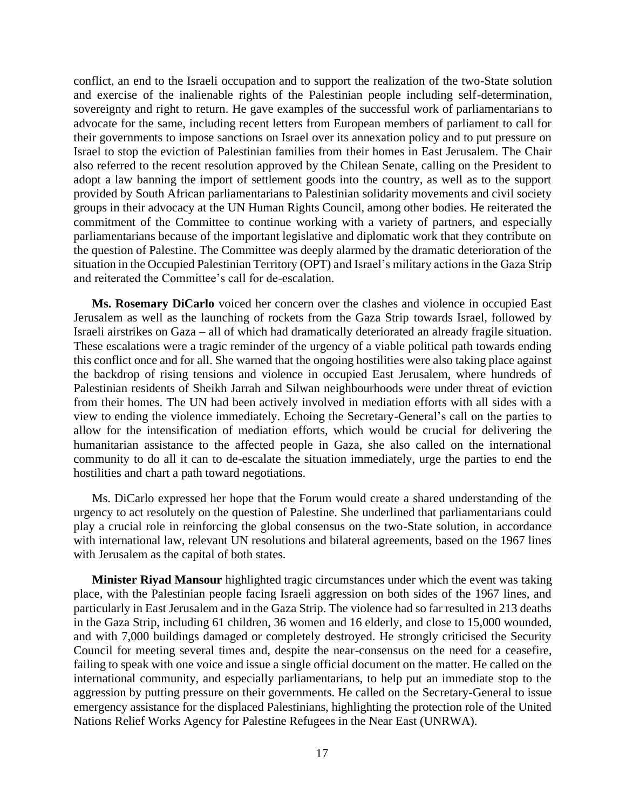conflict, an end to the Israeli occupation and to support the realization of the two-State solution and exercise of the inalienable rights of the Palestinian people including self-determination, sovereignty and right to return. He gave examples of the successful work of parliamentarians to advocate for the same, including recent letters from European members of parliament to call for their governments to impose sanctions on Israel over its annexation policy and to put pressure on Israel to stop the eviction of Palestinian families from their homes in East Jerusalem. The Chair also referred to the recent resolution approved by the Chilean Senate, calling on the President to adopt a law banning the import of settlement goods into the country, as well as to the support provided by South African parliamentarians to Palestinian solidarity movements and civil society groups in their advocacy at the UN Human Rights Council, among other bodies. He reiterated the commitment of the Committee to continue working with a variety of partners, and especially parliamentarians because of the important legislative and diplomatic work that they contribute on the question of Palestine. The Committee was deeply alarmed by the dramatic deterioration of the situation in the Occupied Palestinian Territory (OPT) and Israel's military actions in the Gaza Strip and reiterated the Committee's call for de-escalation.

**Ms. Rosemary DiCarlo** voiced her concern over the clashes and violence in occupied East Jerusalem as well as the launching of rockets from the Gaza Strip towards Israel, followed by Israeli airstrikes on Gaza – all of which had dramatically deteriorated an already fragile situation. These escalations were a tragic reminder of the urgency of a viable political path towards ending this conflict once and for all. She warned that the ongoing hostilities were also taking place against the backdrop of rising tensions and violence in occupied East Jerusalem, where hundreds of Palestinian residents of Sheikh Jarrah and Silwan neighbourhoods were under threat of eviction from their homes. The UN had been actively involved in mediation efforts with all sides with a view to ending the violence immediately. Echoing the Secretary-General's call on the parties to allow for the intensification of mediation efforts, which would be crucial for delivering the humanitarian assistance to the affected people in Gaza, she also called on the international community to do all it can to de-escalate the situation immediately, urge the parties to end the hostilities and chart a path toward negotiations.

Ms. DiCarlo expressed her hope that the Forum would create a shared understanding of the urgency to act resolutely on the question of Palestine. She underlined that parliamentarians could play a crucial role in reinforcing the global consensus on the two-State solution, in accordance with international law, relevant UN resolutions and bilateral agreements, based on the 1967 lines with Jerusalem as the capital of both states.

**Minister Riyad Mansour** highlighted tragic circumstances under which the event was taking place, with the Palestinian people facing Israeli aggression on both sides of the 1967 lines, and particularly in East Jerusalem and in the Gaza Strip. The violence had so far resulted in 213 deaths in the Gaza Strip, including 61 children, 36 women and 16 elderly, and close to 15,000 wounded, and with 7,000 buildings damaged or completely destroyed. He strongly criticised the Security Council for meeting several times and, despite the near-consensus on the need for a ceasefire, failing to speak with one voice and issue a single official document on the matter. He called on the international community, and especially parliamentarians, to help put an immediate stop to the aggression by putting pressure on their governments. He called on the Secretary-General to issue emergency assistance for the displaced Palestinians, highlighting the protection role of the United Nations Relief Works Agency for Palestine Refugees in the Near East (UNRWA).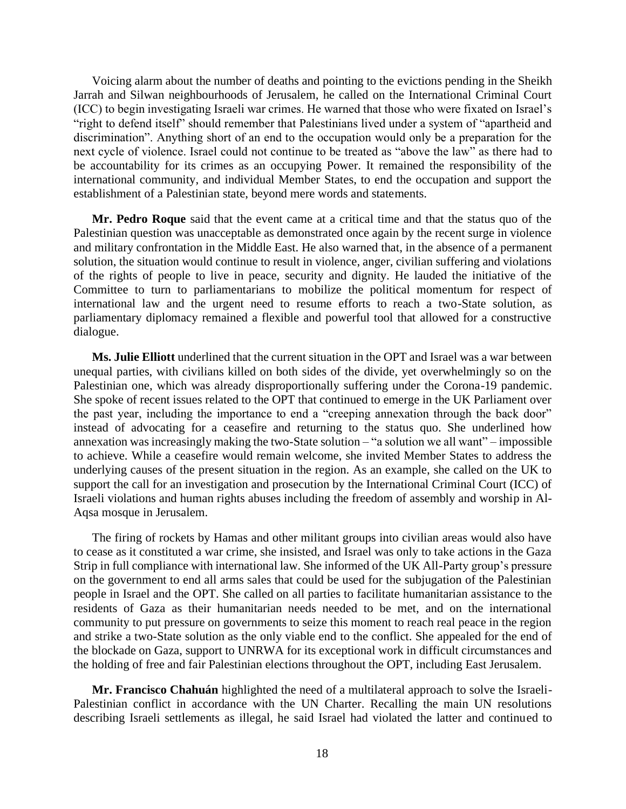Voicing alarm about the number of deaths and pointing to the evictions pending in the Sheikh Jarrah and Silwan neighbourhoods of Jerusalem, he called on the International Criminal Court (ICC) to begin investigating Israeli war crimes. He warned that those who were fixated on Israel's "right to defend itself" should remember that Palestinians lived under a system of "apartheid and discrimination". Anything short of an end to the occupation would only be a preparation for the next cycle of violence. Israel could not continue to be treated as "above the law" as there had to be accountability for its crimes as an occupying Power. It remained the responsibility of the international community, and individual Member States, to end the occupation and support the establishment of a Palestinian state, beyond mere words and statements.

**Mr. Pedro Roque** said that the event came at a critical time and that the status quo of the Palestinian question was unacceptable as demonstrated once again by the recent surge in violence and military confrontation in the Middle East. He also warned that, in the absence of a permanent solution, the situation would continue to result in violence, anger, civilian suffering and violations of the rights of people to live in peace, security and dignity. He lauded the initiative of the Committee to turn to parliamentarians to mobilize the political momentum for respect of international law and the urgent need to resume efforts to reach a two-State solution, as parliamentary diplomacy remained a flexible and powerful tool that allowed for a constructive dialogue.

**Ms. Julie Elliott** underlined that the current situation in the OPT and Israel was a war between unequal parties, with civilians killed on both sides of the divide, yet overwhelmingly so on the Palestinian one, which was already disproportionally suffering under the Corona-19 pandemic. She spoke of recent issues related to the OPT that continued to emerge in the UK Parliament over the past year, including the importance to end a "creeping annexation through the back door" instead of advocating for a ceasefire and returning to the status quo. She underlined how annexation was increasingly making the two-State solution – "a solution we all want" – impossible to achieve. While a ceasefire would remain welcome, she invited Member States to address the underlying causes of the present situation in the region. As an example, she called on the UK to support the call for an investigation and prosecution by the International Criminal Court (ICC) of Israeli violations and human rights abuses including the freedom of assembly and worship in Al-Aqsa mosque in Jerusalem.

The firing of rockets by Hamas and other militant groups into civilian areas would also have to cease as it constituted a war crime, she insisted, and Israel was only to take actions in the Gaza Strip in full compliance with international law. She informed of the UK All-Party group's pressure on the government to end all arms sales that could be used for the subjugation of the Palestinian people in Israel and the OPT. She called on all parties to facilitate humanitarian assistance to the residents of Gaza as their humanitarian needs needed to be met, and on the international community to put pressure on governments to seize this moment to reach real peace in the region and strike a two-State solution as the only viable end to the conflict. She appealed for the end of the blockade on Gaza, support to UNRWA for its exceptional work in difficult circumstances and the holding of free and fair Palestinian elections throughout the OPT, including East Jerusalem.

**Mr. Francisco Chahuán** highlighted the need of a multilateral approach to solve the Israeli-Palestinian conflict in accordance with the UN Charter. Recalling the main UN resolutions describing Israeli settlements as illegal, he said Israel had violated the latter and continued to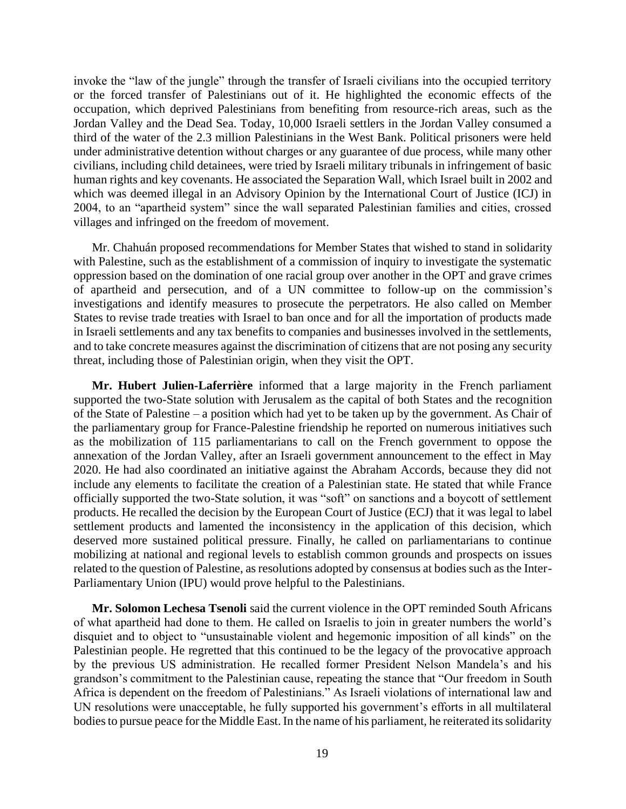invoke the "law of the jungle" through the transfer of Israeli civilians into the occupied territory or the forced transfer of Palestinians out of it. He highlighted the economic effects of the occupation, which deprived Palestinians from benefiting from resource-rich areas, such as the Jordan Valley and the Dead Sea. Today, 10,000 Israeli settlers in the Jordan Valley consumed a third of the water of the 2.3 million Palestinians in the West Bank. Political prisoners were held under administrative detention without charges or any guarantee of due process, while many other civilians, including child detainees, were tried by Israeli military tribunals in infringement of basic human rights and key covenants. He associated the Separation Wall, which Israel built in 2002 and which was deemed illegal in an Advisory Opinion by the International Court of Justice (ICJ) in 2004, to an "apartheid system" since the wall separated Palestinian families and cities, crossed villages and infringed on the freedom of movement.

Mr. Chahuán proposed recommendations for Member States that wished to stand in solidarity with Palestine, such as the establishment of a commission of inquiry to investigate the systematic oppression based on the domination of one racial group over another in the OPT and grave crimes of apartheid and persecution, and of a UN committee to follow-up on the commission's investigations and identify measures to prosecute the perpetrators. He also called on Member States to revise trade treaties with Israel to ban once and for all the importation of products made in Israeli settlements and any tax benefits to companies and businesses involved in the settlements, and to take concrete measures against the discrimination of citizens that are not posing any security threat, including those of Palestinian origin, when they visit the OPT.

**Mr. Hubert Julien-Laferrière** informed that a large majority in the French parliament supported the two-State solution with Jerusalem as the capital of both States and the recognition of the State of Palestine – a position which had yet to be taken up by the government. As Chair of the parliamentary group for France-Palestine friendship he reported on numerous initiatives such as the mobilization of 115 parliamentarians to call on the French government to oppose the annexation of the Jordan Valley, after an Israeli government announcement to the effect in May 2020. He had also coordinated an initiative against the Abraham Accords, because they did not include any elements to facilitate the creation of a Palestinian state. He stated that while France officially supported the two-State solution, it was "soft" on sanctions and a boycott of settlement products. He recalled the decision by the European Court of Justice (ECJ) that it was legal to label settlement products and lamented the inconsistency in the application of this decision, which deserved more sustained political pressure. Finally, he called on parliamentarians to continue mobilizing at national and regional levels to establish common grounds and prospects on issues related to the question of Palestine, as resolutions adopted by consensus at bodies such as the Inter-Parliamentary Union (IPU) would prove helpful to the Palestinians.

**Mr. Solomon Lechesa Tsenoli** said the current violence in the OPT reminded South Africans of what apartheid had done to them. He called on Israelis to join in greater numbers the world's disquiet and to object to "unsustainable violent and hegemonic imposition of all kinds" on the Palestinian people. He regretted that this continued to be the legacy of the provocative approach by the previous US administration. He recalled former President Nelson Mandela's and his grandson's commitment to the Palestinian cause, repeating the stance that "Our freedom in South Africa is dependent on the freedom of Palestinians." As Israeli violations of international law and UN resolutions were unacceptable, he fully supported his government's efforts in all multilateral bodies to pursue peace for the Middle East. In the name of his parliament, he reiterated its solidarity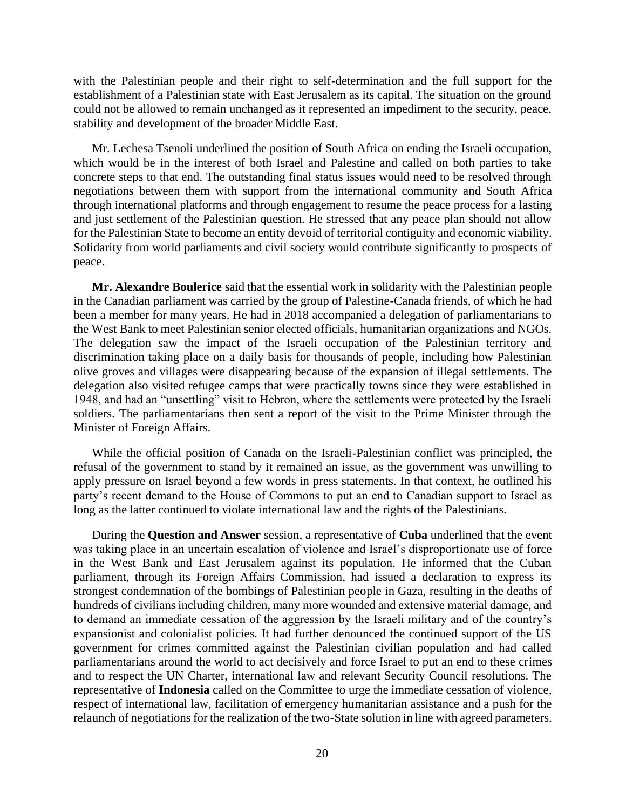with the Palestinian people and their right to self-determination and the full support for the establishment of a Palestinian state with East Jerusalem as its capital. The situation on the ground could not be allowed to remain unchanged as it represented an impediment to the security, peace, stability and development of the broader Middle East.

Mr. Lechesa Tsenoli underlined the position of South Africa on ending the Israeli occupation, which would be in the interest of both Israel and Palestine and called on both parties to take concrete steps to that end. The outstanding final status issues would need to be resolved through negotiations between them with support from the international community and South Africa through international platforms and through engagement to resume the peace process for a lasting and just settlement of the Palestinian question. He stressed that any peace plan should not allow for the Palestinian State to become an entity devoid of territorial contiguity and economic viability. Solidarity from world parliaments and civil society would contribute significantly to prospects of peace.

**Mr. Alexandre Boulerice** said that the essential work in solidarity with the Palestinian people in the Canadian parliament was carried by the group of Palestine-Canada friends, of which he had been a member for many years. He had in 2018 accompanied a delegation of parliamentarians to the West Bank to meet Palestinian senior elected officials, humanitarian organizations and NGOs. The delegation saw the impact of the Israeli occupation of the Palestinian territory and discrimination taking place on a daily basis for thousands of people, including how Palestinian olive groves and villages were disappearing because of the expansion of illegal settlements. The delegation also visited refugee camps that were practically towns since they were established in 1948, and had an "unsettling" visit to Hebron, where the settlements were protected by the Israeli soldiers. The parliamentarians then sent a report of the visit to the Prime Minister through the Minister of Foreign Affairs.

While the official position of Canada on the Israeli-Palestinian conflict was principled, the refusal of the government to stand by it remained an issue, as the government was unwilling to apply pressure on Israel beyond a few words in press statements. In that context, he outlined his party's recent demand to the House of Commons to put an end to Canadian support to Israel as long as the latter continued to violate international law and the rights of the Palestinians.

During the **Question and Answer** session, a representative of **Cuba** underlined that the event was taking place in an uncertain escalation of violence and Israel's disproportionate use of force in the West Bank and East Jerusalem against its population. He informed that the Cuban parliament, through its Foreign Affairs Commission, had issued a declaration to express its strongest condemnation of the bombings of Palestinian people in Gaza, resulting in the deaths of hundreds of civilians including children, many more wounded and extensive material damage, and to demand an immediate cessation of the aggression by the Israeli military and of the country's expansionist and colonialist policies. It had further denounced the continued support of the US government for crimes committed against the Palestinian civilian population and had called parliamentarians around the world to act decisively and force Israel to put an end to these crimes and to respect the UN Charter, international law and relevant Security Council resolutions. The representative of **Indonesia** called on the Committee to urge the immediate cessation of violence, respect of international law, facilitation of emergency humanitarian assistance and a push for the relaunch of negotiations for the realization of the two-State solution in line with agreed parameters.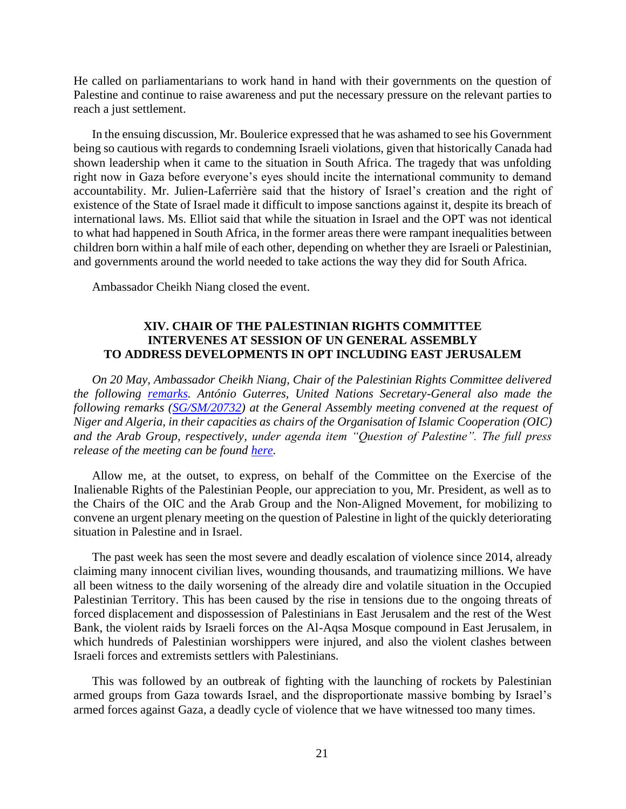He called on parliamentarians to work hand in hand with their governments on the question of Palestine and continue to raise awareness and put the necessary pressure on the relevant parties to reach a just settlement.

In the ensuing discussion, Mr. Boulerice expressed that he was ashamed to see his Government being so cautious with regards to condemning Israeli violations, given that historically Canada had shown leadership when it came to the situation in South Africa. The tragedy that was unfolding right now in Gaza before everyone's eyes should incite the international community to demand accountability. Mr. Julien-Laferrière said that the history of Israel's creation and the right of existence of the State of Israel made it difficult to impose sanctions against it, despite its breach of international laws. Ms. Elliot said that while the situation in Israel and the OPT was not identical to what had happened in South Africa, in the former areas there were rampant inequalities between children born within a half mile of each other, depending on whether they are Israeli or Palestinian, and governments around the world needed to take actions the way they did for South Africa.

Ambassador Cheikh Niang closed the event.

# **XIV. CHAIR OF THE PALESTINIAN RIGHTS COMMITTEE INTERVENES AT SESSION OF UN GENERAL ASSEMBLY TO ADDRESS DEVELOPMENTS IN OPT INCLUDING EAST JERUSALEM**

*On 20 May, Ambassador Cheikh Niang, Chair of the Palestinian Rights Committee delivered the following [remarks.](https://www.un.org/unispal/document/statement-by-chair-of-the-palestinian-rights-committee-at-the-ga-joint-debate-on-the-question-of-palestine-and-the-situation-in-the-middle-east/) António Guterres, United Nations Secretary-General also made the following remarks [\(SG/SM/20732\)](https://www.un.org/unispal/document/secretary-generals-remarks-to-the-general-assembly-meeting-on-the-situation-in-the-middle-east-and-palestine-as-delivered/) at the General Assembly meeting convened at the request of Niger and Algeria, in their capacities as chairs of the Organisation of Islamic Cooperation (OIC) and the Arab Group, respectively, under agenda item "Question of Palestine". The full press release of the meeting can be found [here.](https://www.un.org/unispal/document/general-assembly-situation-in-the-middle-east-press-release-ga-12325/)* 

Allow me, at the outset, to express, on behalf of the Committee on the Exercise of the Inalienable Rights of the Palestinian People, our appreciation to you, Mr. President, as well as to the Chairs of the OIC and the Arab Group and the Non-Aligned Movement, for mobilizing to convene an urgent plenary meeting on the question of Palestine in light of the quickly deteriorating situation in Palestine and in Israel.

The past week has seen the most severe and deadly escalation of violence since 2014, already claiming many innocent civilian lives, wounding thousands, and traumatizing millions. We have all been witness to the daily worsening of the already dire and volatile situation in the Occupied Palestinian Territory. This has been caused by the rise in tensions due to the ongoing threats of forced displacement and dispossession of Palestinians in East Jerusalem and the rest of the West Bank, the violent raids by Israeli forces on the Al-Aqsa Mosque compound in East Jerusalem, in which hundreds of Palestinian worshippers were injured, and also the violent clashes between Israeli forces and extremists settlers with Palestinians.

This was followed by an outbreak of fighting with the launching of rockets by Palestinian armed groups from Gaza towards Israel, and the disproportionate massive bombing by Israel's armed forces against Gaza, a deadly cycle of violence that we have witnessed too many times.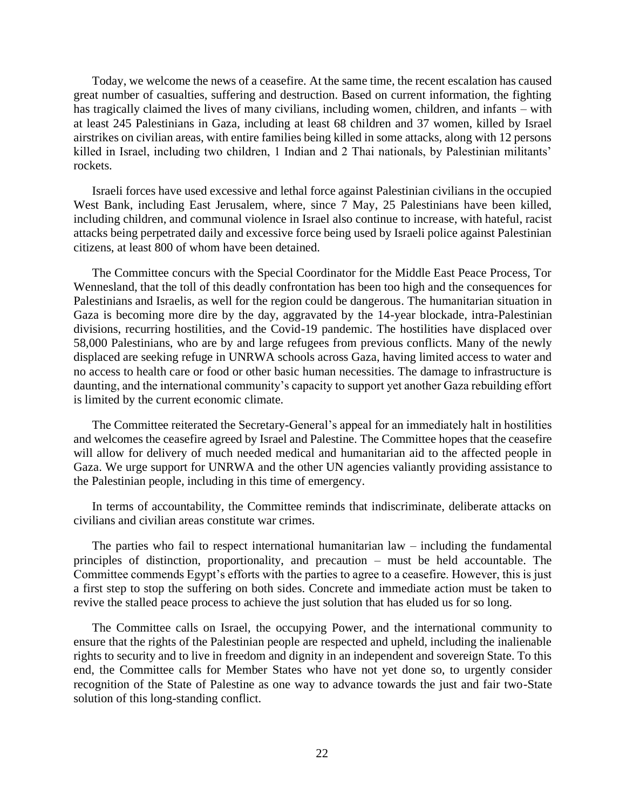Today, we welcome the news of a ceasefire. At the same time, the recent escalation has caused great number of casualties, suffering and destruction. Based on current information, the fighting has tragically claimed the lives of many civilians, including women, children, and infants – with at least 245 Palestinians in Gaza, including at least 68 children and 37 women, killed by Israel airstrikes on civilian areas, with entire families being killed in some attacks, along with 12 persons killed in Israel, including two children, 1 Indian and 2 Thai nationals, by Palestinian militants' rockets.

Israeli forces have used excessive and lethal force against Palestinian civilians in the occupied West Bank, including East Jerusalem, where, since 7 May, 25 Palestinians have been killed, including children, and communal violence in Israel also continue to increase, with hateful, racist attacks being perpetrated daily and excessive force being used by Israeli police against Palestinian citizens, at least 800 of whom have been detained.

The Committee concurs with the Special Coordinator for the Middle East Peace Process, Tor Wennesland, that the toll of this deadly confrontation has been too high and the consequences for Palestinians and Israelis, as well for the region could be dangerous. The humanitarian situation in Gaza is becoming more dire by the day, aggravated by the 14-year blockade, intra-Palestinian divisions, recurring hostilities, and the Covid-19 pandemic. The hostilities have displaced over 58,000 Palestinians, who are by and large refugees from previous conflicts. Many of the newly displaced are seeking refuge in UNRWA schools across Gaza, having limited access to water and no access to health care or food or other basic human necessities. The damage to infrastructure is daunting, and the international community's capacity to support yet another Gaza rebuilding effort is limited by the current economic climate.

The Committee reiterated the Secretary-General's appeal for an immediately halt in hostilities and welcomes the ceasefire agreed by Israel and Palestine. The Committee hopes that the ceasefire will allow for delivery of much needed medical and humanitarian aid to the affected people in Gaza. We urge support for UNRWA and the other UN agencies valiantly providing assistance to the Palestinian people, including in this time of emergency.

In terms of accountability, the Committee reminds that indiscriminate, deliberate attacks on civilians and civilian areas constitute war crimes.

The parties who fail to respect international humanitarian law – including the fundamental principles of distinction, proportionality, and precaution – must be held accountable. The Committee commends Egypt's efforts with the parties to agree to a ceasefire. However, this is just a first step to stop the suffering on both sides. Concrete and immediate action must be taken to revive the stalled peace process to achieve the just solution that has eluded us for so long.

The Committee calls on Israel, the occupying Power, and the international community to ensure that the rights of the Palestinian people are respected and upheld, including the inalienable rights to security and to live in freedom and dignity in an independent and sovereign State. To this end, the Committee calls for Member States who have not yet done so, to urgently consider recognition of the State of Palestine as one way to advance towards the just and fair two-State solution of this long-standing conflict.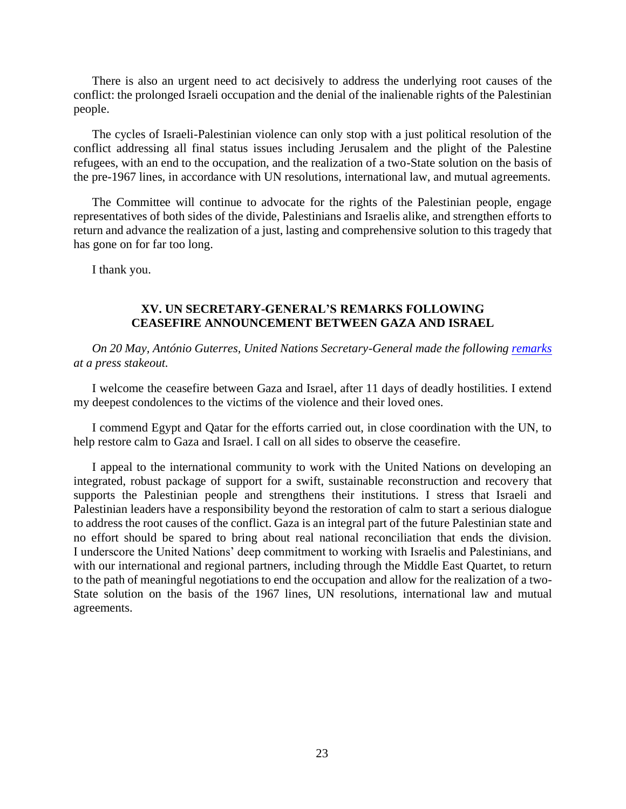There is also an urgent need to act decisively to address the underlying root causes of the conflict: the prolonged Israeli occupation and the denial of the inalienable rights of the Palestinian people.

The cycles of Israeli-Palestinian violence can only stop with a just political resolution of the conflict addressing all final status issues including Jerusalem and the plight of the Palestine refugees, with an end to the occupation, and the realization of a two-State solution on the basis of the pre-1967 lines, in accordance with UN resolutions, international law, and mutual agreements.

The Committee will continue to advocate for the rights of the Palestinian people, engage representatives of both sides of the divide, Palestinians and Israelis alike, and strengthen efforts to return and advance the realization of a just, lasting and comprehensive solution to this tragedy that has gone on for far too long.

I thank you.

# **XV. UN SECRETARY-GENERAL'S REMARKS FOLLOWING CEASEFIRE ANNOUNCEMENT BETWEEN GAZA AND ISRAEL**

*On 20 May, António Guterres, United Nations Secretary-General made the following [remarks](https://www.un.org/unispal/document/secretary-generals-press-stakeout-following-ceasefire-announcement-between-gaza-and-israel/) at a press stakeout.*

I welcome the ceasefire between Gaza and Israel, after 11 days of deadly hostilities. I extend my deepest condolences to the victims of the violence and their loved ones.

I commend Egypt and Qatar for the efforts carried out, in close coordination with the UN, to help restore calm to Gaza and Israel. I call on all sides to observe the ceasefire.

I appeal to the international community to work with the United Nations on developing an integrated, robust package of support for a swift, sustainable reconstruction and recovery that supports the Palestinian people and strengthens their institutions. I stress that Israeli and Palestinian leaders have a responsibility beyond the restoration of calm to start a serious dialogue to address the root causes of the conflict. Gaza is an integral part of the future Palestinian state and no effort should be spared to bring about real national reconciliation that ends the division. I underscore the United Nations' deep commitment to working with Israelis and Palestinians, and with our international and regional partners, including through the Middle East Quartet, to return to the path of meaningful negotiations to end the occupation and allow for the realization of a two-State solution on the basis of the 1967 lines, UN resolutions, international law and mutual agreements.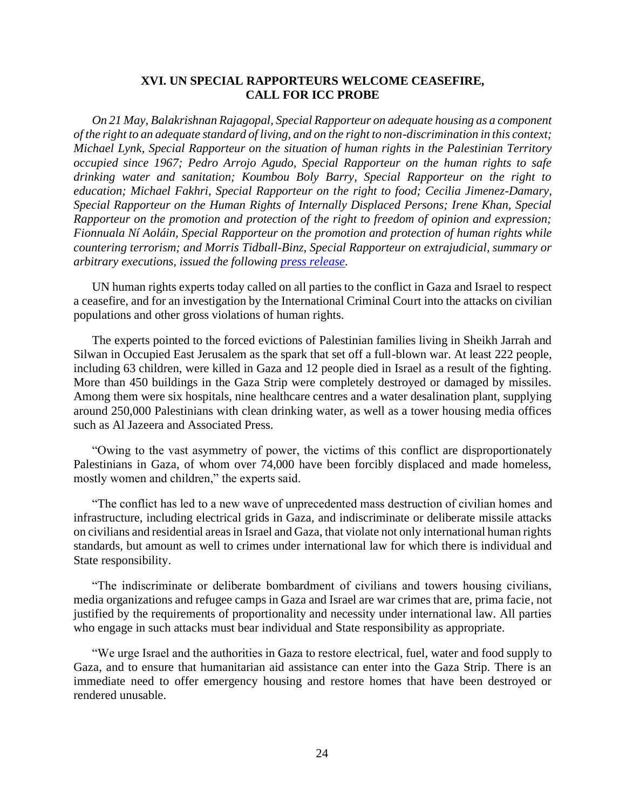#### **XVI. UN SPECIAL RAPPORTEURS WELCOME CEASEFIRE, CALL FOR ICC PROBE**

*On 21 May, Balakrishnan Rajagopal, Special Rapporteur on adequate housing as a component of the right to an adequate standard of living, and on the right to non-discrimination in this context; Michael Lynk, Special Rapporteur on the situation of human rights in the Palestinian Territory occupied since 1967; Pedro Arrojo Agudo, Special Rapporteur on the human rights to safe drinking water and sanitation; Koumbou Boly Barry, Special Rapporteur on the right to education; Michael Fakhri, Special Rapporteur on the right to food; Cecilia Jimenez-Damary, Special Rapporteur on the Human Rights of Internally Displaced Persons; Irene Khan, Special Rapporteur on the promotion and protection of the right to freedom of opinion and expression; Fionnuala Ní Aoláin, Special Rapporteur on the promotion and protection of human rights while countering terrorism; and Morris Tidball-Binz, Special Rapporteur on extrajudicial, summary or arbitrary executions, issued the following [press release.](https://www.un.org/unispal/document/special-rapporteurs-welcome-ceasefire-call-for-icc-probe-press-release/)*

UN human rights experts today called on all parties to the conflict in Gaza and Israel to respect a ceasefire, and for an investigation by the International Criminal Court into the attacks on civilian populations and other gross violations of human rights.

The experts pointed to the forced evictions of Palestinian families living in Sheikh Jarrah and Silwan in Occupied East Jerusalem as the spark that set off a full-blown war. At least 222 people, including 63 children, were killed in Gaza and 12 people died in Israel as a result of the fighting. More than 450 buildings in the Gaza Strip were completely destroyed or damaged by missiles. Among them were six hospitals, nine healthcare centres and a water desalination plant, supplying around 250,000 Palestinians with clean drinking water, as well as a tower housing media offices such as Al Jazeera and Associated Press.

"Owing to the vast asymmetry of power, the victims of this conflict are disproportionately Palestinians in Gaza, of whom over 74,000 have been forcibly displaced and made homeless, mostly women and children," the experts said.

"The conflict has led to a new wave of unprecedented mass destruction of civilian homes and infrastructure, including electrical grids in Gaza, and indiscriminate or deliberate missile attacks on civilians and residential areas in Israel and Gaza, that violate not only international human rights standards, but amount as well to crimes under international law for which there is individual and State responsibility.

"The indiscriminate or deliberate bombardment of civilians and towers housing civilians, media organizations and refugee camps in Gaza and Israel are war crimes that are, prima facie, not justified by the requirements of proportionality and necessity under international law. All parties who engage in such attacks must bear individual and State responsibility as appropriate.

"We urge Israel and the authorities in Gaza to restore electrical, fuel, water and food supply to Gaza, and to ensure that humanitarian aid assistance can enter into the Gaza Strip. There is an immediate need to offer emergency housing and restore homes that have been destroyed or rendered unusable.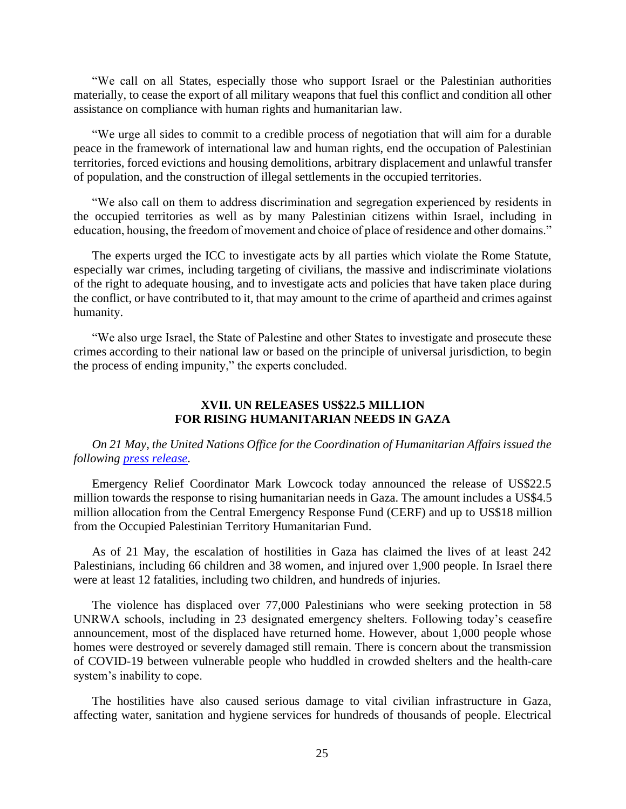"We call on all States, especially those who support Israel or the Palestinian authorities materially, to cease the export of all military weapons that fuel this conflict and condition all other assistance on compliance with human rights and humanitarian law.

"We urge all sides to commit to a credible process of negotiation that will aim for a durable peace in the framework of international law and human rights, end the occupation of Palestinian territories, forced evictions and housing demolitions, arbitrary displacement and unlawful transfer of population, and the construction of illegal settlements in the occupied territories.

"We also call on them to address discrimination and segregation experienced by residents in the occupied territories as well as by many Palestinian citizens within Israel, including in education, housing, the freedom of movement and choice of place of residence and other domains."

The experts urged the ICC to investigate acts by all parties which violate the Rome Statute, especially war crimes, including targeting of civilians, the massive and indiscriminate violations of the right to adequate housing, and to investigate acts and policies that have taken place during the conflict, or have contributed to it, that may amount to the crime of apartheid and crimes against humanity.

"We also urge Israel, the State of Palestine and other States to investigate and prosecute these crimes according to their national law or based on the principle of universal jurisdiction, to begin the process of ending impunity," the experts concluded.

#### **XVII. UN RELEASES US\$22.5 MILLION FOR RISING HUMANITARIAN NEEDS IN GAZA**

*On 21 May, the United Nations Office for the Coordination of Humanitarian Affairs issued the following [press release.](https://www.un.org/unispal/document/un-releases-us-22-5-million-for-rising-humanitarian-needs-in-gaza-press-release/)*

Emergency Relief Coordinator Mark Lowcock today announced the release of US\$22.5 million towards the response to rising humanitarian needs in Gaza. The amount includes a US\$4.5 million allocation from the Central Emergency Response Fund (CERF) and up to US\$18 million from the Occupied Palestinian Territory Humanitarian Fund.

As of 21 May, the escalation of hostilities in Gaza has claimed the lives of at least 242 Palestinians, including 66 children and 38 women, and injured over 1,900 people. In Israel there were at least 12 fatalities, including two children, and hundreds of injuries.

The violence has displaced over 77,000 Palestinians who were seeking protection in 58 UNRWA schools, including in 23 designated emergency shelters. Following today's ceasefire announcement, most of the displaced have returned home. However, about 1,000 people whose homes were destroyed or severely damaged still remain. There is concern about the transmission of COVID-19 between vulnerable people who huddled in crowded shelters and the health-care system's inability to cope.

The hostilities have also caused serious damage to vital civilian infrastructure in Gaza, affecting water, sanitation and hygiene services for hundreds of thousands of people. Electrical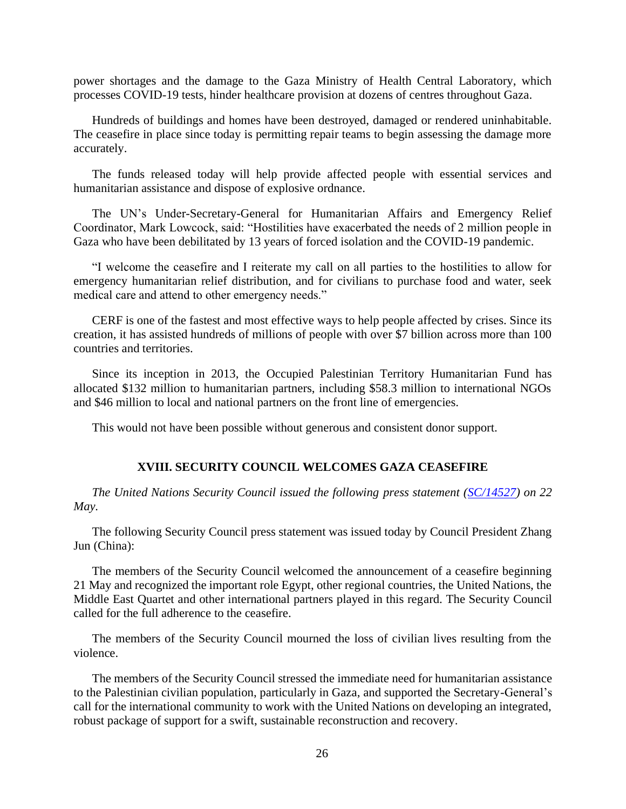power shortages and the damage to the Gaza Ministry of Health Central Laboratory, which processes COVID-19 tests, hinder healthcare provision at dozens of centres throughout Gaza.

Hundreds of buildings and homes have been destroyed, damaged or rendered uninhabitable. The ceasefire in place since today is permitting repair teams to begin assessing the damage more accurately.

The funds released today will help provide affected people with essential services and humanitarian assistance and dispose of explosive ordnance.

The UN's Under-Secretary-General for Humanitarian Affairs and Emergency Relief Coordinator, Mark Lowcock, said: "Hostilities have exacerbated the needs of 2 million people in Gaza who have been debilitated by 13 years of forced isolation and the COVID-19 pandemic.

"I welcome the ceasefire and I reiterate my call on all parties to the hostilities to allow for emergency humanitarian relief distribution, and for civilians to purchase food and water, seek medical care and attend to other emergency needs."

CERF is one of the fastest and most effective ways to help people affected by crises. Since its creation, it has assisted hundreds of millions of people with over \$7 billion across more than 100 countries and territories.

Since its inception in 2013, the Occupied Palestinian Territory Humanitarian Fund has allocated \$132 million to humanitarian partners, including \$58.3 million to international NGOs and \$46 million to local and national partners on the front line of emergencies.

This would not have been possible without generous and consistent donor support.

#### **XVIII. SECURITY COUNCIL WELCOMES GAZA CEASEFIRE**

*The United Nations Security Council issued the following press statement [\(SC/14527\)](https://www.un.org/unispal/document/security-council-press-statement-on-gaza-ceasefire-sc-14527/) on 22 May.*

The following Security Council press statement was issued today by Council President Zhang Jun (China):

The members of the Security Council welcomed the announcement of a ceasefire beginning 21 May and recognized the important role Egypt, other regional countries, the United Nations, the Middle East Quartet and other international partners played in this regard. The Security Council called for the full adherence to the ceasefire.

The members of the Security Council mourned the loss of civilian lives resulting from the violence.

The members of the Security Council stressed the immediate need for humanitarian assistance to the Palestinian civilian population, particularly in Gaza, and supported the Secretary-General's call for the international community to work with the United Nations on developing an integrated, robust package of support for a swift, sustainable reconstruction and recovery.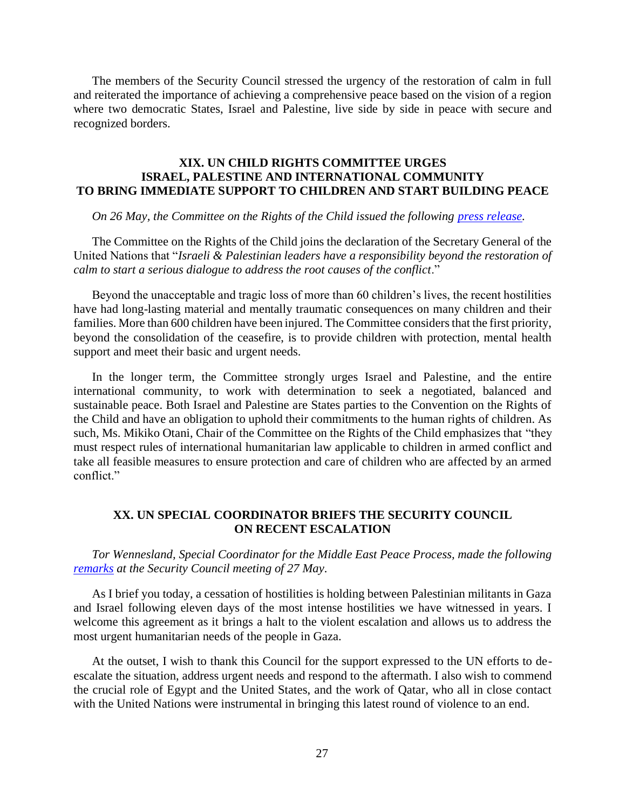The members of the Security Council stressed the urgency of the restoration of calm in full and reiterated the importance of achieving a comprehensive peace based on the vision of a region where two democratic States, Israel and Palestine, live side by side in peace with secure and recognized borders.

## **XIX. UN CHILD RIGHTS COMMITTEE URGES ISRAEL, PALESTINE AND INTERNATIONAL COMMUNITY TO BRING IMMEDIATE SUPPORT TO CHILDREN AND START BUILDING PEACE**

#### *On 26 May, the Committee on the Rights of the Child issued the following [press release.](https://www.un.org/unispal/document/un-child-rights-committee-urges-israel-and-palestine-and-international-community-to-bring-immediate-support-to-children-and-start-building-peace-press-release/)*

The Committee on the Rights of the Child joins the declaration of the Secretary General of the United Nations that "*Israeli & Palestinian leaders have a responsibility beyond the restoration of calm to start a serious dialogue to address the root causes of the conflict*."

Beyond the unacceptable and tragic loss of more than 60 children's lives, the recent hostilities have had long-lasting material and mentally traumatic consequences on many children and their families. More than 600 children have been injured. The Committee considers that the first priority, beyond the consolidation of the ceasefire, is to provide children with protection, mental health support and meet their basic and urgent needs.

In the longer term, the Committee strongly urges Israel and Palestine, and the entire international community, to work with determination to seek a negotiated, balanced and sustainable peace. Both Israel and Palestine are States parties to the Convention on the Rights of the Child and have an obligation to uphold their commitments to the human rights of children. As such, Ms. Mikiko Otani, Chair of the Committee on the Rights of the Child emphasizes that "they must respect rules of international humanitarian law applicable to children in armed conflict and take all feasible measures to ensure protection and care of children who are affected by an armed conflict."

#### **XX. UN SPECIAL COORDINATOR BRIEFS THE SECURITY COUNCIL ON RECENT ESCALATION**

*Tor Wennesland, Special Coordinator for the Middle East Peace Process, made the following [remarks](https://www.un.org/unispal/document/special-coordinator-wenneslands-briefing-to-the-security-council-on-the-situation-in-the-middle-east-5/) at the Security Council meeting of 27 May.*

As I brief you today, a cessation of hostilities is holding between Palestinian militants in Gaza and Israel following eleven days of the most intense hostilities we have witnessed in years. I welcome this agreement as it brings a halt to the violent escalation and allows us to address the most urgent humanitarian needs of the people in Gaza.

At the outset, I wish to thank this Council for the support expressed to the UN efforts to deescalate the situation, address urgent needs and respond to the aftermath. I also wish to commend the crucial role of Egypt and the United States, and the work of Qatar, who all in close contact with the United Nations were instrumental in bringing this latest round of violence to an end.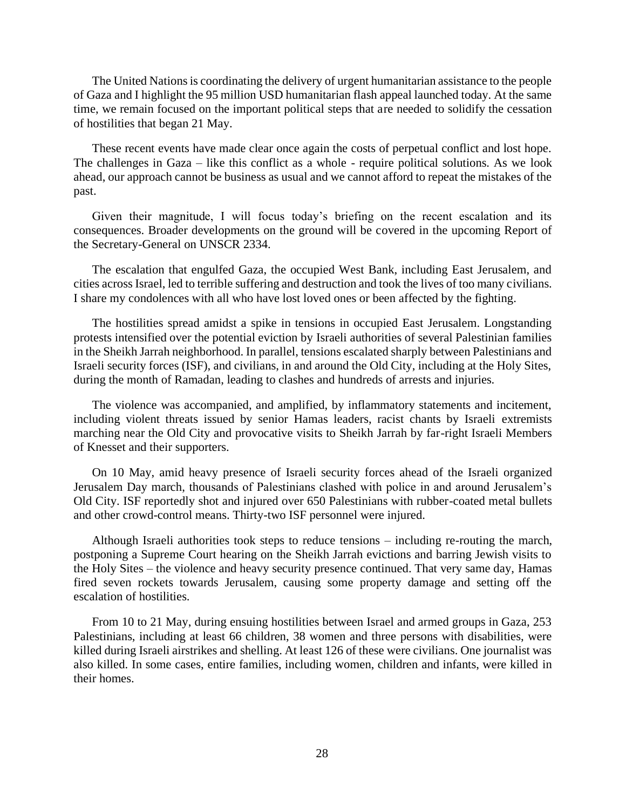The United Nations is coordinating the delivery of urgent humanitarian assistance to the people of Gaza and I highlight the 95 million USD humanitarian flash appeal launched today. At the same time, we remain focused on the important political steps that are needed to solidify the cessation of hostilities that began 21 May.

These recent events have made clear once again the costs of perpetual conflict and lost hope. The challenges in Gaza – like this conflict as a whole - require political solutions. As we look ahead, our approach cannot be business as usual and we cannot afford to repeat the mistakes of the past.

Given their magnitude, I will focus today's briefing on the recent escalation and its consequences. Broader developments on the ground will be covered in the upcoming Report of the Secretary-General on UNSCR 2334.

The escalation that engulfed Gaza, the occupied West Bank, including East Jerusalem, and cities across Israel, led to terrible suffering and destruction and took the lives of too many civilians. I share my condolences with all who have lost loved ones or been affected by the fighting.

The hostilities spread amidst a spike in tensions in occupied East Jerusalem. Longstanding protests intensified over the potential eviction by Israeli authorities of several Palestinian families in the Sheikh Jarrah neighborhood. In parallel, tensions escalated sharply between Palestinians and Israeli security forces (ISF), and civilians, in and around the Old City, including at the Holy Sites, during the month of Ramadan, leading to clashes and hundreds of arrests and injuries.

The violence was accompanied, and amplified, by inflammatory statements and incitement, including violent threats issued by senior Hamas leaders, racist chants by Israeli extremists marching near the Old City and provocative visits to Sheikh Jarrah by far-right Israeli Members of Knesset and their supporters.

On 10 May, amid heavy presence of Israeli security forces ahead of the Israeli organized Jerusalem Day march, thousands of Palestinians clashed with police in and around Jerusalem's Old City. ISF reportedly shot and injured over 650 Palestinians with rubber-coated metal bullets and other crowd-control means. Thirty-two ISF personnel were injured.

Although Israeli authorities took steps to reduce tensions – including re-routing the march, postponing a Supreme Court hearing on the Sheikh Jarrah evictions and barring Jewish visits to the Holy Sites – the violence and heavy security presence continued. That very same day, Hamas fired seven rockets towards Jerusalem, causing some property damage and setting off the escalation of hostilities.

From 10 to 21 May, during ensuing hostilities between Israel and armed groups in Gaza, 253 Palestinians, including at least 66 children, 38 women and three persons with disabilities, were killed during Israeli airstrikes and shelling. At least 126 of these were civilians. One journalist was also killed. In some cases, entire families, including women, children and infants, were killed in their homes.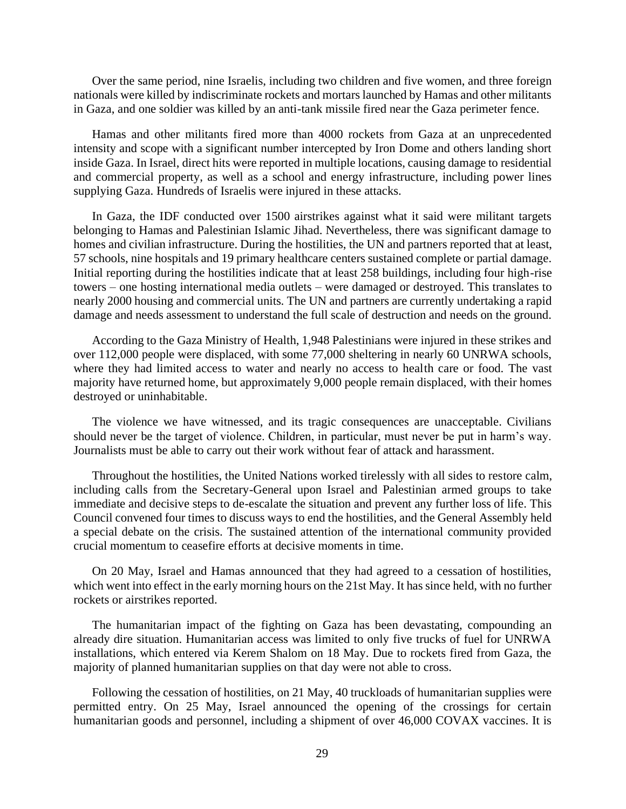Over the same period, nine Israelis, including two children and five women, and three foreign nationals were killed by indiscriminate rockets and mortars launched by Hamas and other militants in Gaza, and one soldier was killed by an anti-tank missile fired near the Gaza perimeter fence.

Hamas and other militants fired more than 4000 rockets from Gaza at an unprecedented intensity and scope with a significant number intercepted by Iron Dome and others landing short inside Gaza. In Israel, direct hits were reported in multiple locations, causing damage to residential and commercial property, as well as a school and energy infrastructure, including power lines supplying Gaza. Hundreds of Israelis were injured in these attacks.

In Gaza, the IDF conducted over 1500 airstrikes against what it said were militant targets belonging to Hamas and Palestinian Islamic Jihad. Nevertheless, there was significant damage to homes and civilian infrastructure. During the hostilities, the UN and partners reported that at least, 57 schools, nine hospitals and 19 primary healthcare centers sustained complete or partial damage. Initial reporting during the hostilities indicate that at least 258 buildings, including four high-rise towers – one hosting international media outlets – were damaged or destroyed. This translates to nearly 2000 housing and commercial units. The UN and partners are currently undertaking a rapid damage and needs assessment to understand the full scale of destruction and needs on the ground.

According to the Gaza Ministry of Health, 1,948 Palestinians were injured in these strikes and over 112,000 people were displaced, with some 77,000 sheltering in nearly 60 UNRWA schools, where they had limited access to water and nearly no access to health care or food. The vast majority have returned home, but approximately 9,000 people remain displaced, with their homes destroyed or uninhabitable.

The violence we have witnessed, and its tragic consequences are unacceptable. Civilians should never be the target of violence. Children, in particular, must never be put in harm's way. Journalists must be able to carry out their work without fear of attack and harassment.

Throughout the hostilities, the United Nations worked tirelessly with all sides to restore calm, including calls from the Secretary-General upon Israel and Palestinian armed groups to take immediate and decisive steps to de-escalate the situation and prevent any further loss of life. This Council convened four times to discuss ways to end the hostilities, and the General Assembly held a special debate on the crisis. The sustained attention of the international community provided crucial momentum to ceasefire efforts at decisive moments in time.

On 20 May, Israel and Hamas announced that they had agreed to a cessation of hostilities, which went into effect in the early morning hours on the 21st May. It has since held, with no further rockets or airstrikes reported.

The humanitarian impact of the fighting on Gaza has been devastating, compounding an already dire situation. Humanitarian access was limited to only five trucks of fuel for UNRWA installations, which entered via Kerem Shalom on 18 May. Due to rockets fired from Gaza, the majority of planned humanitarian supplies on that day were not able to cross.

Following the cessation of hostilities, on 21 May, 40 truckloads of humanitarian supplies were permitted entry. On 25 May, Israel announced the opening of the crossings for certain humanitarian goods and personnel, including a shipment of over 46,000 COVAX vaccines. It is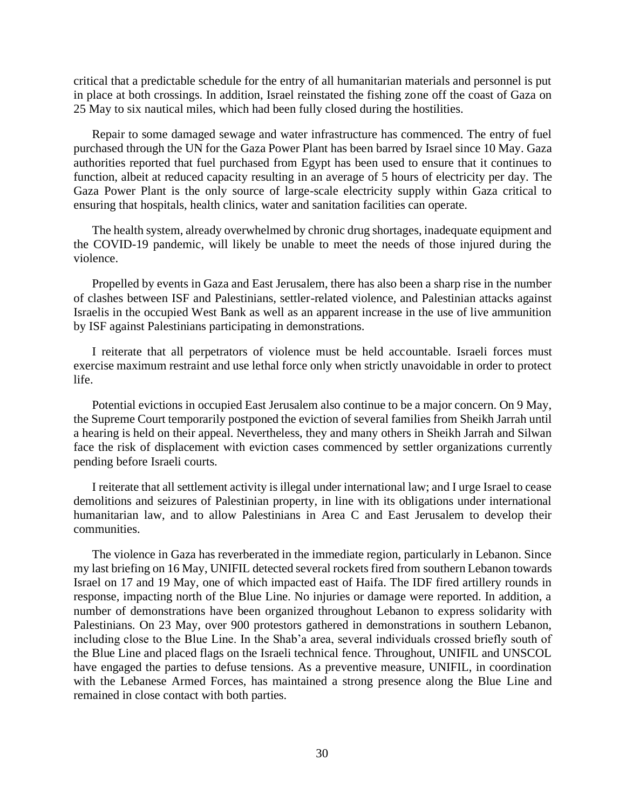critical that a predictable schedule for the entry of all humanitarian materials and personnel is put in place at both crossings. In addition, Israel reinstated the fishing zone off the coast of Gaza on 25 May to six nautical miles, which had been fully closed during the hostilities.

Repair to some damaged sewage and water infrastructure has commenced. The entry of fuel purchased through the UN for the Gaza Power Plant has been barred by Israel since 10 May. Gaza authorities reported that fuel purchased from Egypt has been used to ensure that it continues to function, albeit at reduced capacity resulting in an average of 5 hours of electricity per day. The Gaza Power Plant is the only source of large-scale electricity supply within Gaza critical to ensuring that hospitals, health clinics, water and sanitation facilities can operate.

The health system, already overwhelmed by chronic drug shortages, inadequate equipment and the COVID-19 pandemic, will likely be unable to meet the needs of those injured during the violence.

Propelled by events in Gaza and East Jerusalem, there has also been a sharp rise in the number of clashes between ISF and Palestinians, settler-related violence, and Palestinian attacks against Israelis in the occupied West Bank as well as an apparent increase in the use of live ammunition by ISF against Palestinians participating in demonstrations.

I reiterate that all perpetrators of violence must be held accountable. Israeli forces must exercise maximum restraint and use lethal force only when strictly unavoidable in order to protect life.

Potential evictions in occupied East Jerusalem also continue to be a major concern. On 9 May, the Supreme Court temporarily postponed the eviction of several families from Sheikh Jarrah until a hearing is held on their appeal. Nevertheless, they and many others in Sheikh Jarrah and Silwan face the risk of displacement with eviction cases commenced by settler organizations currently pending before Israeli courts.

I reiterate that all settlement activity is illegal under international law; and I urge Israel to cease demolitions and seizures of Palestinian property, in line with its obligations under international humanitarian law, and to allow Palestinians in Area C and East Jerusalem to develop their communities.

The violence in Gaza has reverberated in the immediate region, particularly in Lebanon. Since my last briefing on 16 May, UNIFIL detected several rockets fired from southern Lebanon towards Israel on 17 and 19 May, one of which impacted east of Haifa. The IDF fired artillery rounds in response, impacting north of the Blue Line. No injuries or damage were reported. In addition, a number of demonstrations have been organized throughout Lebanon to express solidarity with Palestinians. On 23 May, over 900 protestors gathered in demonstrations in southern Lebanon, including close to the Blue Line. In the Shab'a area, several individuals crossed briefly south of the Blue Line and placed flags on the Israeli technical fence. Throughout, UNIFIL and UNSCOL have engaged the parties to defuse tensions. As a preventive measure, UNIFIL, in coordination with the Lebanese Armed Forces, has maintained a strong presence along the Blue Line and remained in close contact with both parties.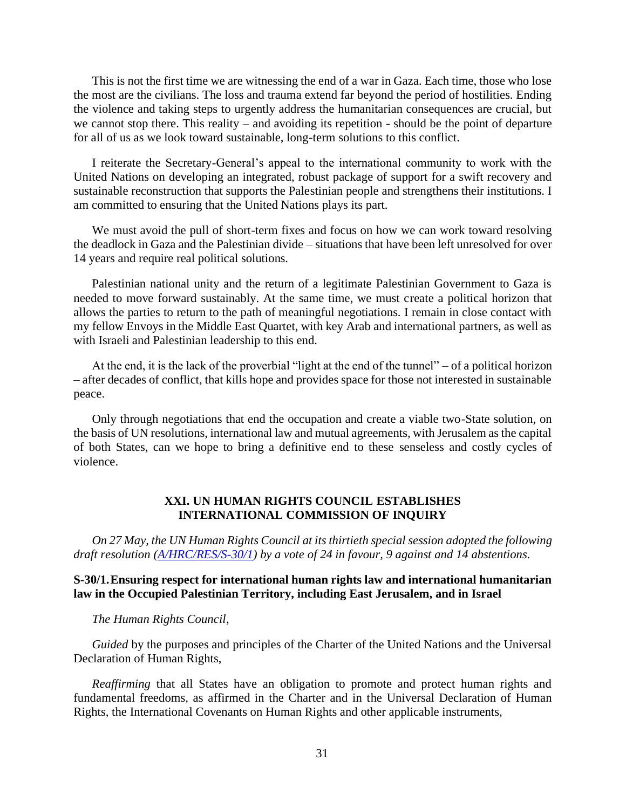This is not the first time we are witnessing the end of a war in Gaza. Each time, those who lose the most are the civilians. The loss and trauma extend far beyond the period of hostilities. Ending the violence and taking steps to urgently address the humanitarian consequences are crucial, but we cannot stop there. This reality – and avoiding its repetition - should be the point of departure for all of us as we look toward sustainable, long-term solutions to this conflict.

I reiterate the Secretary-General's appeal to the international community to work with the United Nations on developing an integrated, robust package of support for a swift recovery and sustainable reconstruction that supports the Palestinian people and strengthens their institutions. I am committed to ensuring that the United Nations plays its part.

We must avoid the pull of short-term fixes and focus on how we can work toward resolving the deadlock in Gaza and the Palestinian divide – situations that have been left unresolved for over 14 years and require real political solutions.

Palestinian national unity and the return of a legitimate Palestinian Government to Gaza is needed to move forward sustainably. At the same time, we must create a political horizon that allows the parties to return to the path of meaningful negotiations. I remain in close contact with my fellow Envoys in the Middle East Quartet, with key Arab and international partners, as well as with Israeli and Palestinian leadership to this end.

At the end, it is the lack of the proverbial "light at the end of the tunnel" – of a political horizon – after decades of conflict, that kills hope and provides space for those not interested in sustainable peace.

Only through negotiations that end the occupation and create a viable two-State solution, on the basis of UN resolutions, international law and mutual agreements, with Jerusalem as the capital of both States, can we hope to bring a definitive end to these senseless and costly cycles of violence.

# **XXI. UN HUMAN RIGHTS COUNCIL ESTABLISHES INTERNATIONAL COMMISSION OF INQUIRY**

*On 27 May, the UN Human Rights Council at its thirtieth special session adopted the following draft resolution [\(A/HRC/RES/S-30/1\)](https://www.un.org/unispal/document/ensuring-respect-for-international-human-rights-law-and-international-humanitarian-law-in-opt-and-israel-human-rights-council-30th-special-session-resolution-a-hrc-res-s-30-1/) by a vote of 24 in favour, 9 against and 14 abstentions.*

#### **S-30/1.Ensuring respect for international human rights law and international humanitarian law in the Occupied Palestinian Territory, including East Jerusalem, and in Israel**

*The Human Rights Council*,

*Guided* by the purposes and principles of the Charter of the United Nations and the Universal Declaration of Human Rights,

*Reaffirming* that all States have an obligation to promote and protect human rights and fundamental freedoms, as affirmed in the Charter and in the Universal Declaration of Human Rights, the International Covenants on Human Rights and other applicable instruments,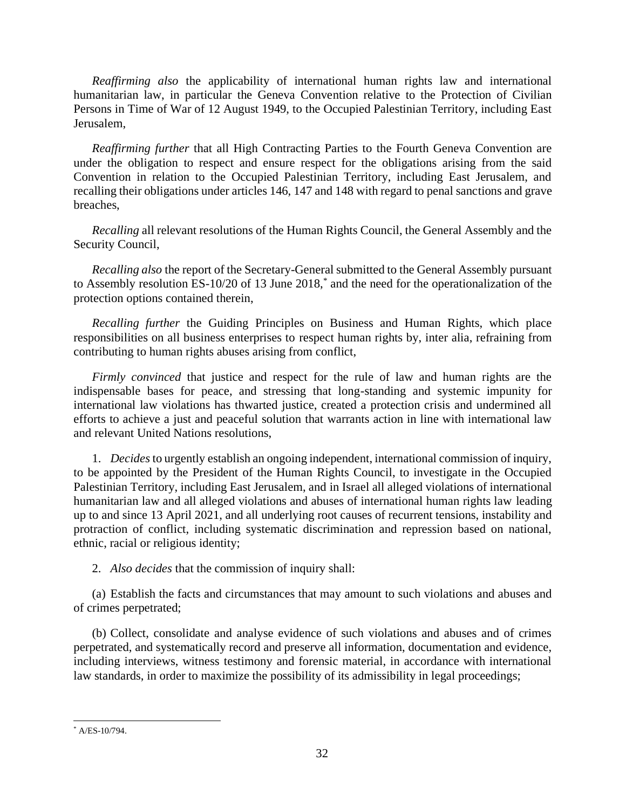*Reaffirming also* the applicability of international human rights law and international humanitarian law, in particular the Geneva Convention relative to the Protection of Civilian Persons in Time of War of 12 August 1949, to the Occupied Palestinian Territory, including East Jerusalem,

*Reaffirming further* that all High Contracting Parties to the Fourth Geneva Convention are under the obligation to respect and ensure respect for the obligations arising from the said Convention in relation to the Occupied Palestinian Territory, including East Jerusalem, and recalling their obligations under articles 146, 147 and 148 with regard to penal sanctions and grave breaches,

*Recalling* all relevant resolutions of the Human Rights Council, the General Assembly and the Security Council,

*Recalling also* the report of the Secretary-General submitted to the General Assembly pursuant to Assembly resolution ES-10/20 of 13 June 2018,\* and the need for the operationalization of the protection options contained therein,

*Recalling further* the Guiding Principles on Business and Human Rights, which place responsibilities on all business enterprises to respect human rights by, inter alia, refraining from contributing to human rights abuses arising from conflict,

*Firmly convinced* that justice and respect for the rule of law and human rights are the indispensable bases for peace, and stressing that long-standing and systemic impunity for international law violations has thwarted justice, created a protection crisis and undermined all efforts to achieve a just and peaceful solution that warrants action in line with international law and relevant United Nations resolutions,

1. *Decides* to urgently establish an ongoing independent, international commission of inquiry, to be appointed by the President of the Human Rights Council, to investigate in the Occupied Palestinian Territory, including East Jerusalem, and in Israel all alleged violations of international humanitarian law and all alleged violations and abuses of international human rights law leading up to and since 13 April 2021, and all underlying root causes of recurrent tensions, instability and protraction of conflict, including systematic discrimination and repression based on national, ethnic, racial or religious identity;

2. *Also decides* that the commission of inquiry shall:

(a) Establish the facts and circumstances that may amount to such violations and abuses and of crimes perpetrated;

(b) Collect, consolidate and analyse evidence of such violations and abuses and of crimes perpetrated, and systematically record and preserve all information, documentation and evidence, including interviews, witness testimony and forensic material, in accordance with international law standards, in order to maximize the possibility of its admissibility in legal proceedings;

<sup>\*</sup> A/ES-10/794.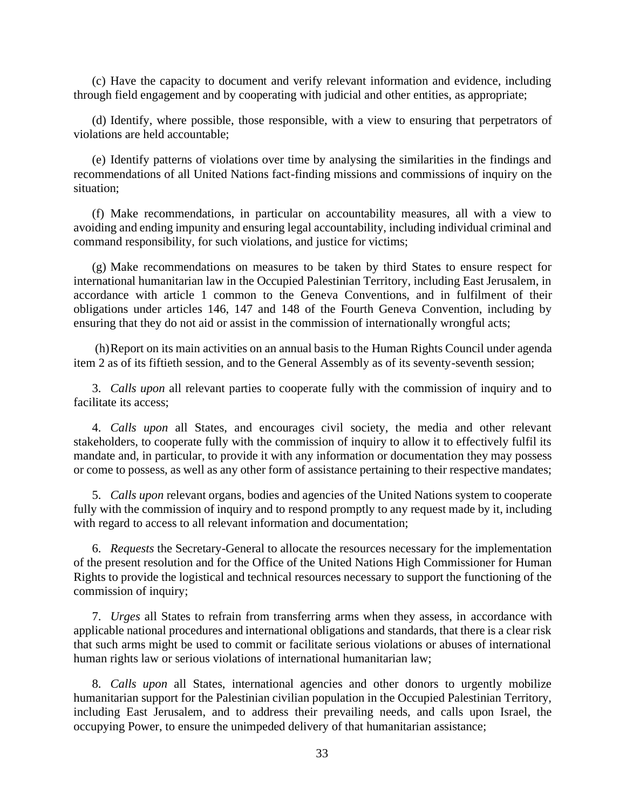(c) Have the capacity to document and verify relevant information and evidence, including through field engagement and by cooperating with judicial and other entities, as appropriate;

(d) Identify, where possible, those responsible, with a view to ensuring that perpetrators of violations are held accountable;

(e) Identify patterns of violations over time by analysing the similarities in the findings and recommendations of all United Nations fact-finding missions and commissions of inquiry on the situation;

(f) Make recommendations, in particular on accountability measures, all with a view to avoiding and ending impunity and ensuring legal accountability, including individual criminal and command responsibility, for such violations, and justice for victims;

(g) Make recommendations on measures to be taken by third States to ensure respect for international humanitarian law in the Occupied Palestinian Territory, including East Jerusalem, in accordance with article 1 common to the Geneva Conventions, and in fulfilment of their obligations under articles 146, 147 and 148 of the Fourth Geneva Convention, including by ensuring that they do not aid or assist in the commission of internationally wrongful acts;

(h)Report on its main activities on an annual basis to the Human Rights Council under agenda item 2 as of its fiftieth session, and to the General Assembly as of its seventy-seventh session;

3. *Calls upon* all relevant parties to cooperate fully with the commission of inquiry and to facilitate its access;

4. *Calls upon* all States, and encourages civil society, the media and other relevant stakeholders, to cooperate fully with the commission of inquiry to allow it to effectively fulfil its mandate and, in particular, to provide it with any information or documentation they may possess or come to possess, as well as any other form of assistance pertaining to their respective mandates;

5. *Calls upon* relevant organs, bodies and agencies of the United Nations system to cooperate fully with the commission of inquiry and to respond promptly to any request made by it, including with regard to access to all relevant information and documentation;

6. *Requests* the Secretary-General to allocate the resources necessary for the implementation of the present resolution and for the Office of the United Nations High Commissioner for Human Rights to provide the logistical and technical resources necessary to support the functioning of the commission of inquiry;

7. *Urges* all States to refrain from transferring arms when they assess, in accordance with applicable national procedures and international obligations and standards, that there is a clear risk that such arms might be used to commit or facilitate serious violations or abuses of international human rights law or serious violations of international humanitarian law;

8. *Calls upon* all States, international agencies and other donors to urgently mobilize humanitarian support for the Palestinian civilian population in the Occupied Palestinian Territory, including East Jerusalem, and to address their prevailing needs, and calls upon Israel, the occupying Power, to ensure the unimpeded delivery of that humanitarian assistance;